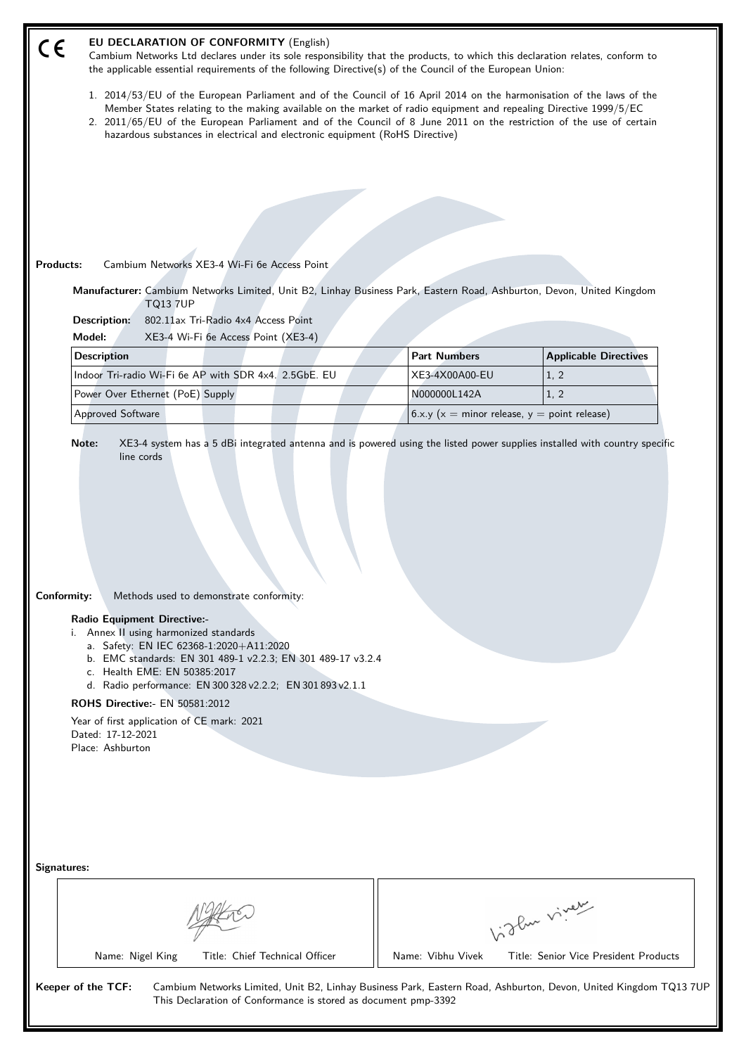| the applicable essential requirements of the following Directive(s) of the Council of the European Union:                                                                                                                                                                                                                                                                                                                                        | Cambium Networks Ltd declares under its sole responsibility that the products, to which this declaration relates, conform to |                              |
|--------------------------------------------------------------------------------------------------------------------------------------------------------------------------------------------------------------------------------------------------------------------------------------------------------------------------------------------------------------------------------------------------------------------------------------------------|------------------------------------------------------------------------------------------------------------------------------|------------------------------|
| 1. 2014/53/EU of the European Parliament and of the Council of 16 April 2014 on the harmonisation of the laws of the<br>Member States relating to the making available on the market of radio equipment and repealing Directive 1999/5/EC<br>2. 2011/65/EU of the European Parliament and of the Council of 8 June 2011 on the restriction of the use of certain<br>hazardous substances in electrical and electronic equipment (RoHS Directive) |                                                                                                                              |                              |
|                                                                                                                                                                                                                                                                                                                                                                                                                                                  |                                                                                                                              |                              |
|                                                                                                                                                                                                                                                                                                                                                                                                                                                  |                                                                                                                              |                              |
|                                                                                                                                                                                                                                                                                                                                                                                                                                                  |                                                                                                                              |                              |
|                                                                                                                                                                                                                                                                                                                                                                                                                                                  |                                                                                                                              |                              |
| Products:<br>Cambium Networks XE3-4 Wi-Fi 6e Access Point                                                                                                                                                                                                                                                                                                                                                                                        |                                                                                                                              |                              |
| Manufacturer: Cambium Networks Limited, Unit B2, Linhay Business Park, Eastern Road, Ashburton, Devon, United Kingdom<br><b>TQ13 7UP</b><br>802.11ax Tri-Radio 4x4 Access Point<br>Description:                                                                                                                                                                                                                                                  |                                                                                                                              |                              |
| XE3-4 Wi-Fi 6e Access Point (XE3-4)<br>Model:                                                                                                                                                                                                                                                                                                                                                                                                    |                                                                                                                              |                              |
| <b>Description</b>                                                                                                                                                                                                                                                                                                                                                                                                                               | <b>Part Numbers</b>                                                                                                          | <b>Applicable Directives</b> |
| Indoor Tri-radio Wi-Fi 6e AP with SDR 4x4. 2.5GbE. EU                                                                                                                                                                                                                                                                                                                                                                                            | XE3-4X00A00-EU                                                                                                               | 1, 2                         |
| Power Over Ethernet (PoE) Supply                                                                                                                                                                                                                                                                                                                                                                                                                 | N000000L142A                                                                                                                 | 1, 2                         |
| Approved Software                                                                                                                                                                                                                                                                                                                                                                                                                                | 6.x.y ( $x =$ minor release, $y =$ point release)                                                                            |                              |
| Note:<br>XE3-4 system has a 5 dBi integrated antenna and is powered using the listed power supplies installed with country specific<br>line cords                                                                                                                                                                                                                                                                                                |                                                                                                                              |                              |
| Methods used to demonstrate conformity:<br><b>Radio Equipment Directive:-</b><br>i. Annex II using harmonized standards<br>a. Safety: EN IEC 62368-1:2020+A11:2020                                                                                                                                                                                                                                                                               |                                                                                                                              |                              |
| b. EMC standards: EN 301 489-1 v2.2.3; EN 301 489-17 v3.2.4<br>c. Health EME: EN 50385:2017<br>d. Radio performance: EN 300 328 v2.2.2; EN 301 893 v2.1.1                                                                                                                                                                                                                                                                                        |                                                                                                                              |                              |
| ROHS Directive:- EN 50581:2012                                                                                                                                                                                                                                                                                                                                                                                                                   |                                                                                                                              |                              |
| Year of first application of CE mark: 2021<br>Dated: 17-12-2021                                                                                                                                                                                                                                                                                                                                                                                  |                                                                                                                              |                              |
| Conformity:<br>Place: Ashburton                                                                                                                                                                                                                                                                                                                                                                                                                  |                                                                                                                              |                              |
|                                                                                                                                                                                                                                                                                                                                                                                                                                                  |                                                                                                                              |                              |
|                                                                                                                                                                                                                                                                                                                                                                                                                                                  |                                                                                                                              |                              |
|                                                                                                                                                                                                                                                                                                                                                                                                                                                  |                                                                                                                              |                              |
|                                                                                                                                                                                                                                                                                                                                                                                                                                                  |                                                                                                                              |                              |
| Signatures:                                                                                                                                                                                                                                                                                                                                                                                                                                      |                                                                                                                              |                              |
|                                                                                                                                                                                                                                                                                                                                                                                                                                                  |                                                                                                                              |                              |
|                                                                                                                                                                                                                                                                                                                                                                                                                                                  |                                                                                                                              | like viney                   |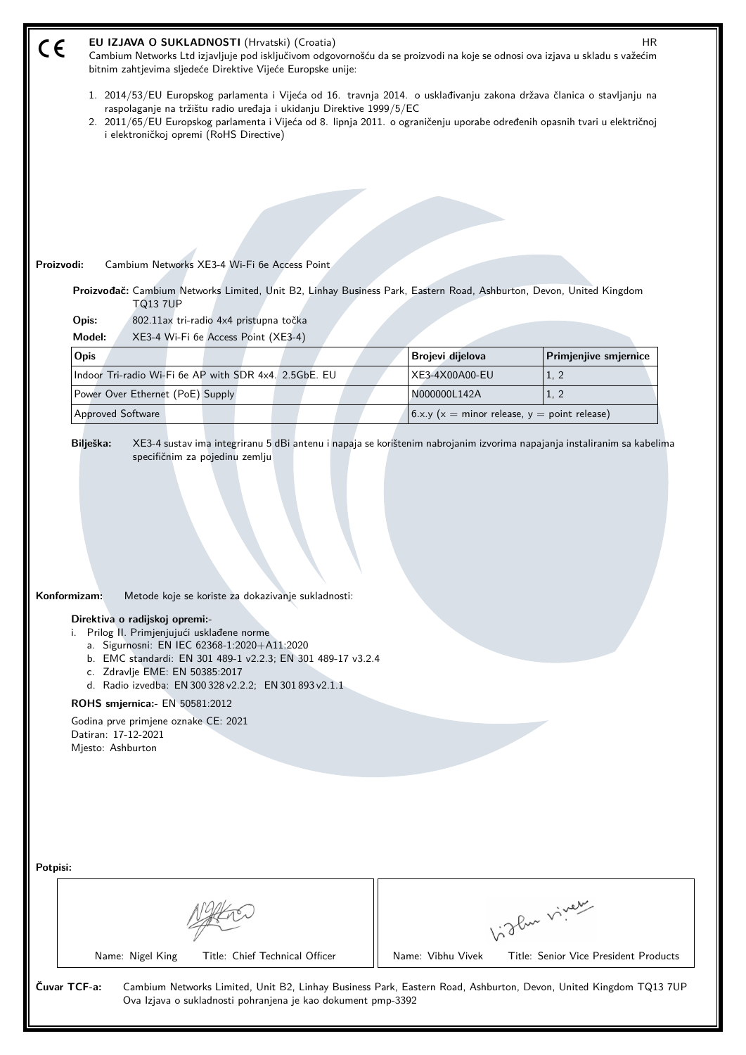| EU IZJAVA O SUKLADNOSTI (Hrvatski) (Croatia)<br>HR<br>CE<br>Cambium Networks Ltd izjavljuje pod isključivom odgovornošću da se proizvodi na koje se odnosi ova izjava u skladu s važećim<br>bitnim zahtjevima sljedeće Direktive Vijeće Europske unije:                                                                                                                                                                                                                              |                                                                   |                                       |  |  |
|--------------------------------------------------------------------------------------------------------------------------------------------------------------------------------------------------------------------------------------------------------------------------------------------------------------------------------------------------------------------------------------------------------------------------------------------------------------------------------------|-------------------------------------------------------------------|---------------------------------------|--|--|
| 1. 2014/53/EU Europskog parlamenta i Vijeća od 16. travnja 2014. o usklađivanju zakona država članica o stavljanju na<br>raspolaganje na tržištu radio uređaja i ukidanju Direktive 1999/5/EC<br>2. 2011/65/EU Europskog parlamenta i Vijeća od 8. lipnja 2011. o ograničenju uporabe određenih opasnih tvari u električnoj                                                                                                                                                          |                                                                   |                                       |  |  |
| i elektroničkoj opremi (RoHS Directive)                                                                                                                                                                                                                                                                                                                                                                                                                                              |                                                                   |                                       |  |  |
|                                                                                                                                                                                                                                                                                                                                                                                                                                                                                      |                                                                   |                                       |  |  |
|                                                                                                                                                                                                                                                                                                                                                                                                                                                                                      |                                                                   |                                       |  |  |
|                                                                                                                                                                                                                                                                                                                                                                                                                                                                                      |                                                                   |                                       |  |  |
| Proizvodi:<br>Cambium Networks XE3-4 Wi-Fi 6e Access Point                                                                                                                                                                                                                                                                                                                                                                                                                           |                                                                   |                                       |  |  |
| Proizvođač: Cambium Networks Limited, Unit B2, Linhay Business Park, Eastern Road, Ashburton, Devon, United Kingdom                                                                                                                                                                                                                                                                                                                                                                  |                                                                   |                                       |  |  |
| <b>TQ13 7UP</b>                                                                                                                                                                                                                                                                                                                                                                                                                                                                      |                                                                   |                                       |  |  |
| Opis:<br>802.11ax tri-radio 4x4 pristupna točka                                                                                                                                                                                                                                                                                                                                                                                                                                      |                                                                   |                                       |  |  |
| XE3-4 Wi-Fi 6e Access Point (XE3-4)<br>Model:                                                                                                                                                                                                                                                                                                                                                                                                                                        |                                                                   |                                       |  |  |
| Opis                                                                                                                                                                                                                                                                                                                                                                                                                                                                                 | Brojevi dijelova                                                  | Primjenjive smjernice                 |  |  |
| Indoor Tri-radio Wi-Fi 6e AP with SDR 4x4. 2.5GbE. EU                                                                                                                                                                                                                                                                                                                                                                                                                                | XE3-4X00A00-EU                                                    | 1, 2                                  |  |  |
| Power Over Ethernet (PoE) Supply<br>Approved Software                                                                                                                                                                                                                                                                                                                                                                                                                                | N000000L142A<br>6.x.y ( $x =$ minor release, $y =$ point release) | 1, 2                                  |  |  |
|                                                                                                                                                                                                                                                                                                                                                                                                                                                                                      |                                                                   |                                       |  |  |
| Konformizam:<br>Metode koje se koriste za dokazivanje sukladnosti:<br>Direktiva o radijskoj opremi:-<br>i. Prilog II. Primjenjujući usklađene norme<br>a. Sigurnosni: EN IEC 62368-1:2020+A11:2020<br>b. EMC standardi: EN 301 489-1 v2.2.3; EN 301 489-17 v3.2.4<br>c. Zdravlje EME: EN 50385:2017<br>d. Radio izvedba: EN 300 328 v2.2.2; EN 301 893 v2.1.1<br>ROHS smjernica: - EN 50581:2012<br>Godina prve primjene oznake CE: 2021<br>Datiran: 17-12-2021<br>Mjesto: Ashburton |                                                                   |                                       |  |  |
| Potpisi:                                                                                                                                                                                                                                                                                                                                                                                                                                                                             |                                                                   |                                       |  |  |
| birlen viner                                                                                                                                                                                                                                                                                                                                                                                                                                                                         |                                                                   |                                       |  |  |
| Name: Nigel King<br>Title: Chief Technical Officer                                                                                                                                                                                                                                                                                                                                                                                                                                   | Name: Vibhu Vivek                                                 | Title: Senior Vice President Products |  |  |
| Čuvar TCF-a:<br>Cambium Networks Limited, Unit B2, Linhay Business Park, Eastern Road, Ashburton, Devon, United Kingdom TQ13 7UP<br>Ova Izjava o sukladnosti pohranjena je kao dokument pmp-3392                                                                                                                                                                                                                                                                                     |                                                                   |                                       |  |  |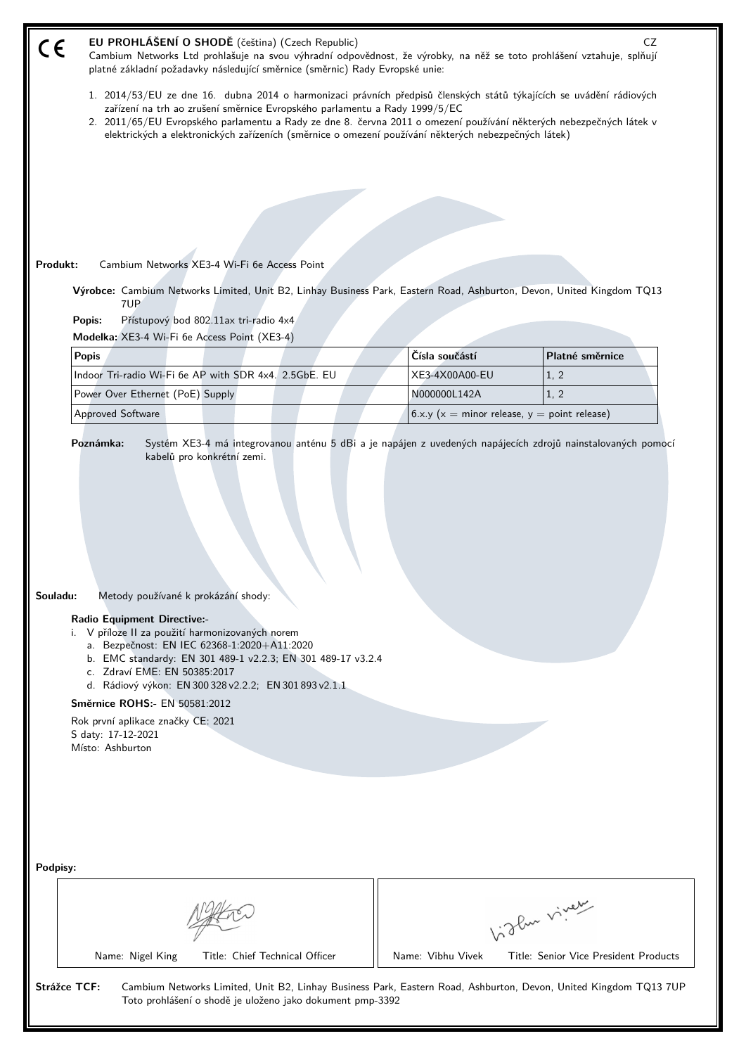| EU PROHLÁŠENÍ O SHODĚ (čeština) (Czech Republic)<br>CE<br>Cambium Networks Ltd prohlašuje na svou výhradní odpovědnost, že výrobky, na něž se toto prohlášení vztahuje, splňují<br>platné základní požadavky následující směrnice (směrnic) Rady Evropské unie:                                                                                                                                                                                |                                  | CZ                                            |  |
|------------------------------------------------------------------------------------------------------------------------------------------------------------------------------------------------------------------------------------------------------------------------------------------------------------------------------------------------------------------------------------------------------------------------------------------------|----------------------------------|-----------------------------------------------|--|
| 1. 2014/53/EU ze dne 16. dubna 2014 o harmonizaci právních předpisů členských států týkajících se uvádění rádiových<br>zařízení na trh ao zrušení směrnice Evropského parlamentu a Rady 1999/5/EC<br>2. 2011/65/EU Evropského parlamentu a Rady ze dne 8. června 2011 o omezení používání některých nebezpečných látek v<br>elektrických a elektronických zařízeních (směrnice o omezení používání některých nebezpečných látek)               |                                  |                                               |  |
|                                                                                                                                                                                                                                                                                                                                                                                                                                                |                                  |                                               |  |
|                                                                                                                                                                                                                                                                                                                                                                                                                                                |                                  |                                               |  |
|                                                                                                                                                                                                                                                                                                                                                                                                                                                |                                  |                                               |  |
|                                                                                                                                                                                                                                                                                                                                                                                                                                                |                                  |                                               |  |
| Produkt:<br>Cambium Networks XE3-4 Wi-Fi 6e Access Point                                                                                                                                                                                                                                                                                                                                                                                       |                                  |                                               |  |
| Výrobce: Cambium Networks Limited, Unit B2, Linhay Business Park, Eastern Road, Ashburton, Devon, United Kingdom TQ13<br>7UP<br>Přístupový bod 802.11ax tri-radio 4x4<br>Popis:                                                                                                                                                                                                                                                                |                                  |                                               |  |
| Modelka: XE3-4 Wi-Fi 6e Access Point (XE3-4)                                                                                                                                                                                                                                                                                                                                                                                                   |                                  |                                               |  |
| <b>Popis</b><br>Indoor Tri-radio Wi-Fi 6e AP with SDR 4x4. 2.5GbE. EU                                                                                                                                                                                                                                                                                                                                                                          | Čísla součástí<br>XE3-4X00A00-EU | Platné směrnice<br>1, 2                       |  |
| Power Over Ethernet (PoE) Supply                                                                                                                                                                                                                                                                                                                                                                                                               | N000000L142A                     | 1, 2                                          |  |
| Approved Software                                                                                                                                                                                                                                                                                                                                                                                                                              |                                  | $6.x.y(x = minor release, y = point release)$ |  |
| Souladu:<br>Metody používané k prokázání shody:<br><b>Radio Equipment Directive:-</b><br>i. V příloze II za použití harmonizovaných norem<br>a. Bezpečnost: EN IEC 62368-1:2020+A11:2020<br>b. EMC standardy: EN 301 489-1 v2.2.3; EN 301 489-17 v3.2.4<br>c. Zdraví EME: EN 50385:2017<br>d. Rádiový výkon: EN 300 328 v2.2.2; EN 301 893 v2.1.1<br>Směrnice ROHS:- EN 50581:2012<br>Rok první aplikace značky CE: 2021<br>S daty: 17-12-2021 |                                  |                                               |  |
| Místo: Ashburton<br>Podpisy:<br>Vidlen viner                                                                                                                                                                                                                                                                                                                                                                                                   |                                  |                                               |  |
|                                                                                                                                                                                                                                                                                                                                                                                                                                                |                                  |                                               |  |
| Name: Nigel King<br>Title: Chief Technical Officer                                                                                                                                                                                                                                                                                                                                                                                             | Name: Vibhu Vivek                | Title: Senior Vice President Products         |  |
| Strážce TCF:<br>Cambium Networks Limited, Unit B2, Linhay Business Park, Eastern Road, Ashburton, Devon, United Kingdom TQ13 7UP<br>Toto prohlášení o shodě je uloženo jako dokument pmp-3392                                                                                                                                                                                                                                                  |                                  |                                               |  |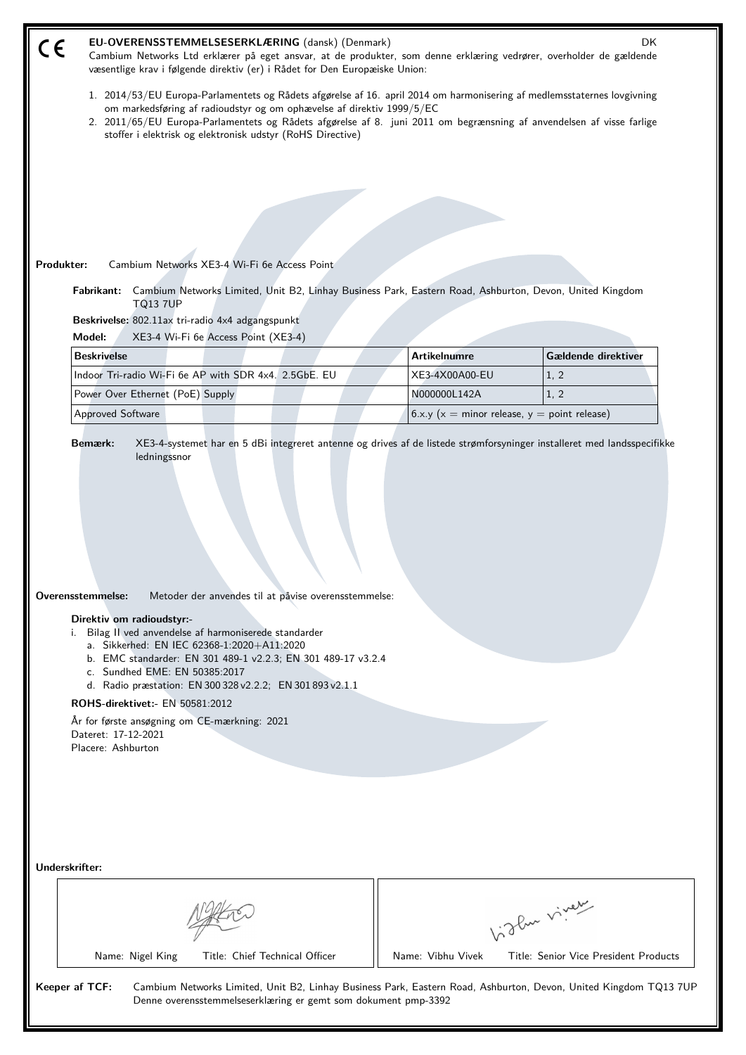| EU-OVERENSSTEMMELSESERKLÆRING (dansk) (Denmark)<br>DK.<br>C€<br>Cambium Networks Ltd erklærer på eget ansvar, at de produkter, som denne erklæring vedrører, overholder de gældende<br>væsentlige krav i følgende direktiv (er) i Rådet for Den Europæiske Union:                                                                                                                                                                                                                                                            |                                                   |                                       |  |
|------------------------------------------------------------------------------------------------------------------------------------------------------------------------------------------------------------------------------------------------------------------------------------------------------------------------------------------------------------------------------------------------------------------------------------------------------------------------------------------------------------------------------|---------------------------------------------------|---------------------------------------|--|
| 1. 2014/53/EU Europa-Parlamentets og Rådets afgørelse af 16. april 2014 om harmonisering af medlemsstaternes lovgivning<br>om markedsføring af radioudstyr og om ophævelse af direktiv 1999/5/EC<br>2. 2011/65/EU Europa-Parlamentets og Rådets afgørelse af 8. juni 2011 om begrænsning af anvendelsen af visse farlige<br>stoffer i elektrisk og elektronisk udstyr (RoHS Directive)                                                                                                                                       |                                                   |                                       |  |
|                                                                                                                                                                                                                                                                                                                                                                                                                                                                                                                              |                                                   |                                       |  |
|                                                                                                                                                                                                                                                                                                                                                                                                                                                                                                                              |                                                   |                                       |  |
|                                                                                                                                                                                                                                                                                                                                                                                                                                                                                                                              |                                                   |                                       |  |
| Cambium Networks XE3-4 Wi-Fi 6e Access Point                                                                                                                                                                                                                                                                                                                                                                                                                                                                                 |                                                   |                                       |  |
| Produkter:<br>Cambium Networks Limited, Unit B2, Linhay Business Park, Eastern Road, Ashburton, Devon, United Kingdom<br>Fabrikant:                                                                                                                                                                                                                                                                                                                                                                                          |                                                   |                                       |  |
| <b>TQ13 7UP</b>                                                                                                                                                                                                                                                                                                                                                                                                                                                                                                              |                                                   |                                       |  |
| Beskrivelse: 802.11ax tri-radio 4x4 adgangspunkt<br>Model:<br>XE3-4 Wi-Fi 6e Access Point (XE3-4)                                                                                                                                                                                                                                                                                                                                                                                                                            |                                                   |                                       |  |
| <b>Beskrivelse</b>                                                                                                                                                                                                                                                                                                                                                                                                                                                                                                           | <b>Artikelnumre</b>                               | Gældende direktiver                   |  |
| Indoor Tri-radio Wi-Fi 6e AP with SDR 4x4. 2.5GbE. EU                                                                                                                                                                                                                                                                                                                                                                                                                                                                        | XE3-4X00A00-EU                                    | 1, 2                                  |  |
| Power Over Ethernet (PoE) Supply                                                                                                                                                                                                                                                                                                                                                                                                                                                                                             | N000000L142A                                      | 1, 2                                  |  |
| Approved Software                                                                                                                                                                                                                                                                                                                                                                                                                                                                                                            | 6.x.y ( $x =$ minor release, $y =$ point release) |                                       |  |
| ledningssnor<br>Overensstemmelse:<br>Metoder der anvendes til at påvise overensstemmelse:<br>Direktiv om radioudstyr:-<br>i. Bilag II ved anvendelse af harmoniserede standarder<br>a. Sikkerhed: EN IEC 62368-1:2020+A11:2020<br>b. EMC standarder: EN 301 489-1 v2.2.3; EN 301 489-17 v3.2.4<br>c. Sundhed EME: EN 50385:2017<br>d. Radio præstation: EN 300 328 v2.2.2; EN 301 893 v2.1.1<br>ROHS-direktivet:- EN 50581:2012<br>År for første ansøgning om CE-mærkning: 2021<br>Dateret: 17-12-2021<br>Placere: Ashburton |                                                   |                                       |  |
| Underskrifter:                                                                                                                                                                                                                                                                                                                                                                                                                                                                                                               |                                                   |                                       |  |
| Vidlen viner                                                                                                                                                                                                                                                                                                                                                                                                                                                                                                                 |                                                   |                                       |  |
| Title: Chief Technical Officer<br>Name: Nigel King                                                                                                                                                                                                                                                                                                                                                                                                                                                                           | Name: Vibhu Vivek                                 | Title: Senior Vice President Products |  |
| Keeper af TCF:<br>Cambium Networks Limited, Unit B2, Linhay Business Park, Eastern Road, Ashburton, Devon, United Kingdom TQ13 7UP<br>Denne overensstemmelseserklæring er gemt som dokument pmp-3392                                                                                                                                                                                                                                                                                                                         |                                                   |                                       |  |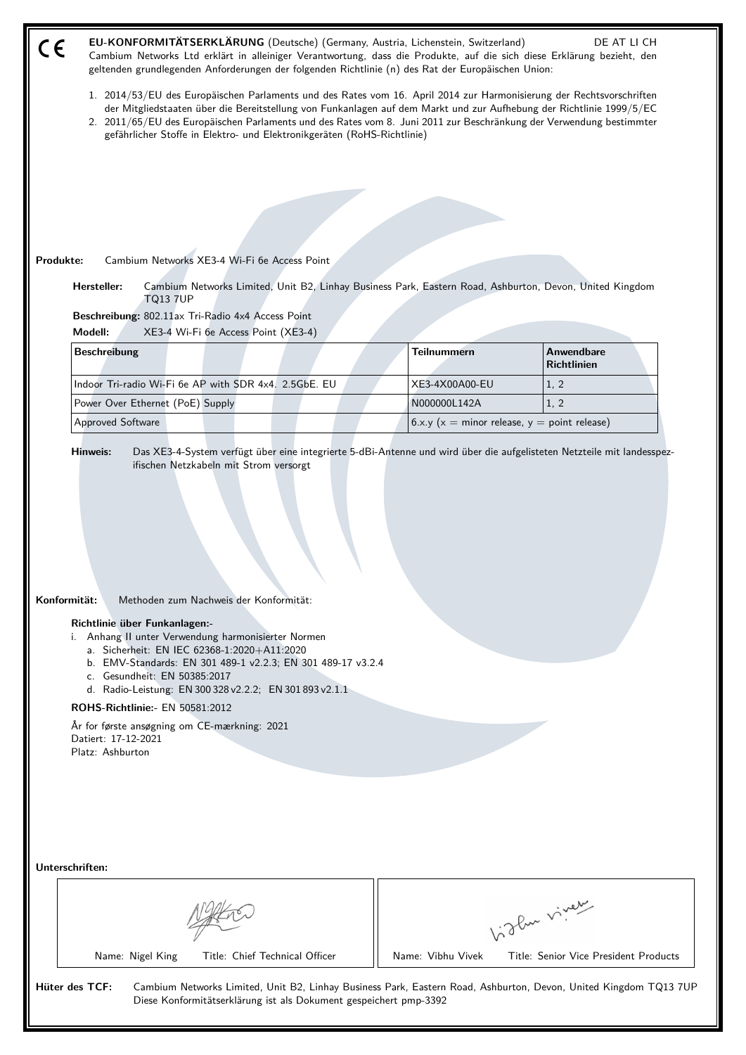| EU-KONFORMITÄTSERKLÄRUNG (Deutsche) (Germany, Austria, Lichenstein, Switzerland)<br>DE AT LI CH<br>CE<br>Cambium Networks Ltd erklärt in alleiniger Verantwortung, dass die Produkte, auf die sich diese Erklärung bezieht, den<br>geltenden grundlegenden Anforderungen der folgenden Richtlinie (n) des Rat der Europäischen Union:                                                                                                                                                                                                                                                                                                                                        |                                                   |                                       |  |
|------------------------------------------------------------------------------------------------------------------------------------------------------------------------------------------------------------------------------------------------------------------------------------------------------------------------------------------------------------------------------------------------------------------------------------------------------------------------------------------------------------------------------------------------------------------------------------------------------------------------------------------------------------------------------|---------------------------------------------------|---------------------------------------|--|
| 1. 2014/53/EU des Europäischen Parlaments und des Rates vom 16. April 2014 zur Harmonisierung der Rechtsvorschriften<br>der Mitgliedstaaten über die Bereitstellung von Funkanlagen auf dem Markt und zur Aufhebung der Richtlinie 1999/5/EC<br>2. 2011/65/EU des Europäischen Parlaments und des Rates vom 8. Juni 2011 zur Beschränkung der Verwendung bestimmter<br>gefährlicher Stoffe in Elektro- und Elektronikgeräten (RoHS-Richtlinie)                                                                                                                                                                                                                               |                                                   |                                       |  |
|                                                                                                                                                                                                                                                                                                                                                                                                                                                                                                                                                                                                                                                                              |                                                   |                                       |  |
|                                                                                                                                                                                                                                                                                                                                                                                                                                                                                                                                                                                                                                                                              |                                                   |                                       |  |
|                                                                                                                                                                                                                                                                                                                                                                                                                                                                                                                                                                                                                                                                              |                                                   |                                       |  |
|                                                                                                                                                                                                                                                                                                                                                                                                                                                                                                                                                                                                                                                                              |                                                   |                                       |  |
| Produkte:<br>Cambium Networks XE3-4 Wi-Fi 6e Access Point                                                                                                                                                                                                                                                                                                                                                                                                                                                                                                                                                                                                                    |                                                   |                                       |  |
| Hersteller:<br>Cambium Networks Limited, Unit B2, Linhay Business Park, Eastern Road, Ashburton, Devon, United Kingdom<br><b>TQ13 7UP</b>                                                                                                                                                                                                                                                                                                                                                                                                                                                                                                                                    |                                                   |                                       |  |
| Beschreibung: 802.11ax Tri-Radio 4x4 Access Point                                                                                                                                                                                                                                                                                                                                                                                                                                                                                                                                                                                                                            |                                                   |                                       |  |
| Modell:<br>XE3-4 Wi-Fi 6e Access Point (XE3-4)<br><b>Beschreibung</b>                                                                                                                                                                                                                                                                                                                                                                                                                                                                                                                                                                                                        | <b>Teilnummern</b>                                | Anwendbare                            |  |
|                                                                                                                                                                                                                                                                                                                                                                                                                                                                                                                                                                                                                                                                              |                                                   | <b>Richtlinien</b>                    |  |
| Indoor Tri-radio Wi-Fi 6e AP with SDR 4x4. 2.5GbE. EU                                                                                                                                                                                                                                                                                                                                                                                                                                                                                                                                                                                                                        | XE3-4X00A00-EU                                    | 1, 2                                  |  |
| Power Over Ethernet (PoE) Supply                                                                                                                                                                                                                                                                                                                                                                                                                                                                                                                                                                                                                                             | N000000L142A                                      | 1, 2                                  |  |
| Approved Software                                                                                                                                                                                                                                                                                                                                                                                                                                                                                                                                                                                                                                                            | 6.x.y ( $x =$ minor release, $y =$ point release) |                                       |  |
| Das XE3-4-System verfügt über eine integrierte 5-dBi-Antenne und wird über die aufgelisteten Netzteile mit landesspez-<br>Hinweis:<br>ifischen Netzkabeln mit Strom versorgt<br>Konformität:<br>Methoden zum Nachweis der Konformität:<br>Richtlinie über Funkanlagen:-<br>i. Anhang II unter Verwendung harmonisierter Normen<br>a. Sicherheit: EN IEC 62368-1:2020+A11:2020<br>b. EMV-Standards: EN 301 489-1 v2.2.3; EN 301 489-17 v3.2.4<br>c. Gesundheit: EN 50385:2017<br>d. Radio-Leistung: EN 300 328 v2.2.2; EN 301 893 v2.1.1<br><b>ROHS-Richtlinie:- EN 50581:2012</b><br>År for første ansøgning om CE-mærkning: 2021<br>Datiert: 17-12-2021<br>Platz: Ashburton |                                                   |                                       |  |
| Unterschriften:                                                                                                                                                                                                                                                                                                                                                                                                                                                                                                                                                                                                                                                              |                                                   |                                       |  |
|                                                                                                                                                                                                                                                                                                                                                                                                                                                                                                                                                                                                                                                                              |                                                   | Vigler viney                          |  |
| Title: Chief Technical Officer<br>Name: Nigel King                                                                                                                                                                                                                                                                                                                                                                                                                                                                                                                                                                                                                           | Name: Vibhu Vivek                                 | Title: Senior Vice President Products |  |
| Hüter des TCF:<br>Cambium Networks Limited, Unit B2, Linhay Business Park, Eastern Road, Ashburton, Devon, United Kingdom TQ13 7UP<br>Diese Konformitätserklärung ist als Dokument gespeichert pmp-3392                                                                                                                                                                                                                                                                                                                                                                                                                                                                      |                                                   |                                       |  |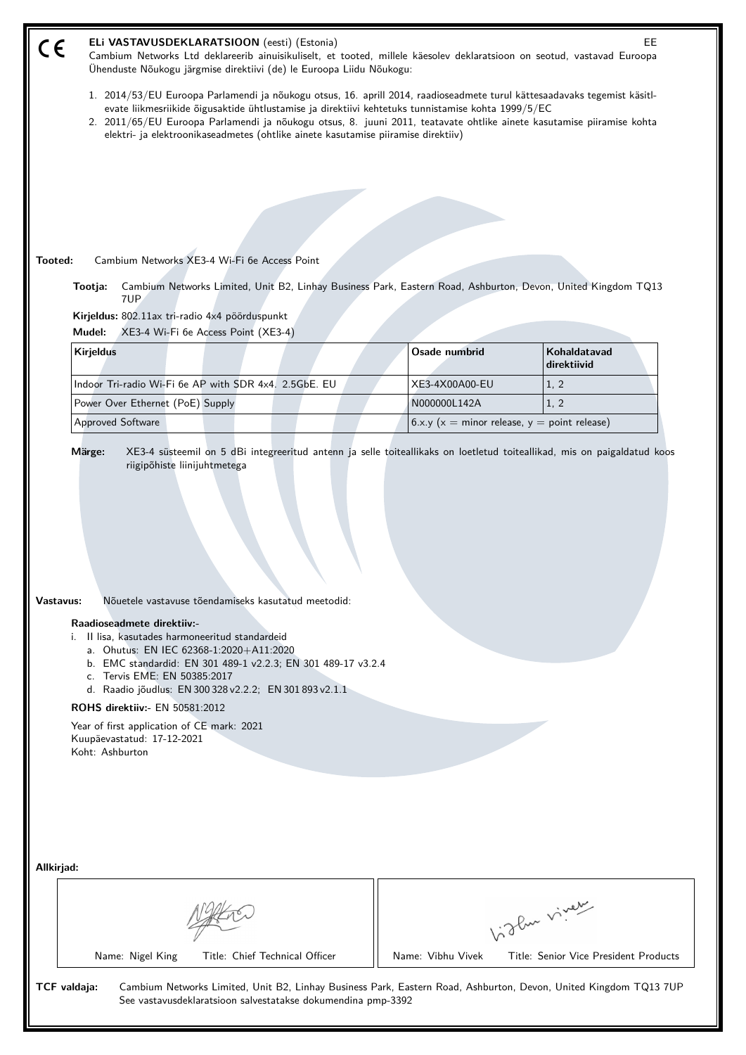| ELi VASTAVUSDEKLARATSIOON (eesti) (Estonia)<br>EE<br>C€<br>Cambium Networks Ltd deklareerib ainuisikuliselt, et tooted, millele käesolev deklaratsioon on seotud, vastavad Euroopa<br>Ühenduste Nõukogu järgmise direktiivi (de) le Euroopa Liidu Nõukogu:                                                                                                                                                                                                                                                                        |                                                   |                                       |  |
|-----------------------------------------------------------------------------------------------------------------------------------------------------------------------------------------------------------------------------------------------------------------------------------------------------------------------------------------------------------------------------------------------------------------------------------------------------------------------------------------------------------------------------------|---------------------------------------------------|---------------------------------------|--|
| 1. 2014/53/EU Euroopa Parlamendi ja nõukogu otsus, 16. aprill 2014, raadioseadmete turul kättesaadavaks tegemist käsitl-<br>evate liikmesriikide õigusaktide ühtlustamise ja direktiivi kehtetuks tunnistamise kohta 1999/5/EC<br>2. 2011/65/EU Euroopa Parlamendi ja nõukogu otsus, 8. juuni 2011, teatavate ohtlike ainete kasutamise piiramise kohta<br>elektri- ja elektroonikaseadmetes (ohtlike ainete kasutamise piiramise direktiiv)                                                                                      |                                                   |                                       |  |
|                                                                                                                                                                                                                                                                                                                                                                                                                                                                                                                                   |                                                   |                                       |  |
|                                                                                                                                                                                                                                                                                                                                                                                                                                                                                                                                   |                                                   |                                       |  |
|                                                                                                                                                                                                                                                                                                                                                                                                                                                                                                                                   |                                                   |                                       |  |
|                                                                                                                                                                                                                                                                                                                                                                                                                                                                                                                                   |                                                   |                                       |  |
| Tooted:<br>Cambium Networks XE3-4 Wi-Fi 6e Access Point                                                                                                                                                                                                                                                                                                                                                                                                                                                                           |                                                   |                                       |  |
| Cambium Networks Limited, Unit B2, Linhay Business Park, Eastern Road, Ashburton, Devon, United Kingdom TQ13<br>Tootja:<br>7UP.                                                                                                                                                                                                                                                                                                                                                                                                   |                                                   |                                       |  |
| Kirjeldus: 802.11ax tri-radio 4x4 pöörduspunkt<br>XE3-4 Wi-Fi 6e Access Point (XE3-4)<br>Mudel:                                                                                                                                                                                                                                                                                                                                                                                                                                   |                                                   |                                       |  |
| <b>Kirjeldus</b>                                                                                                                                                                                                                                                                                                                                                                                                                                                                                                                  | Osade numbrid                                     | Kohaldatavad                          |  |
| Indoor Tri-radio Wi-Fi 6e AP with SDR 4x4. 2.5GbE. EU                                                                                                                                                                                                                                                                                                                                                                                                                                                                             | XE3-4X00A00-EU                                    | direktiivid<br>1, 2                   |  |
| Power Over Ethernet (PoE) Supply                                                                                                                                                                                                                                                                                                                                                                                                                                                                                                  | N000000L142A                                      | 1, 2                                  |  |
| Approved Software                                                                                                                                                                                                                                                                                                                                                                                                                                                                                                                 | 6.x.y ( $x =$ minor release, $y =$ point release) |                                       |  |
| riigipõhiste liinijuhtmetega<br>Vastavus:<br>Nõuetele vastavuse tõendamiseks kasutatud meetodid:<br>Raadioseadmete direktiiv:-<br>Il lisa, kasutades harmoneeritud standardeid<br>i.<br>a. Ohutus: EN IEC 62368-1:2020+A11:2020<br>b. EMC standardid: EN 301 489-1 v2.2.3; EN 301 489-17 v3.2.4<br>c. Tervis EME: EN 50385:2017<br>d. Raadio jõudlus: EN 300 328 v2.2.2; EN 301 893 v2.1.1<br><b>ROHS direktiiv:</b> EN 50581:2012<br>Year of first application of CE mark: 2021<br>Kuupäevastatud: 17-12-2021<br>Koht: Ashburton |                                                   |                                       |  |
| Allkirjad:                                                                                                                                                                                                                                                                                                                                                                                                                                                                                                                        |                                                   |                                       |  |
| Vidlen viner                                                                                                                                                                                                                                                                                                                                                                                                                                                                                                                      |                                                   |                                       |  |
| Name: Nigel King<br>Title: Chief Technical Officer                                                                                                                                                                                                                                                                                                                                                                                                                                                                                | Name: Vibhu Vivek                                 | Title: Senior Vice President Products |  |
| TCF valdaja:<br>Cambium Networks Limited, Unit B2, Linhay Business Park, Eastern Road, Ashburton, Devon, United Kingdom TQ13 7UP<br>See vastavusdeklaratsioon salvestatakse dokumendina pmp-3392                                                                                                                                                                                                                                                                                                                                  |                                                   |                                       |  |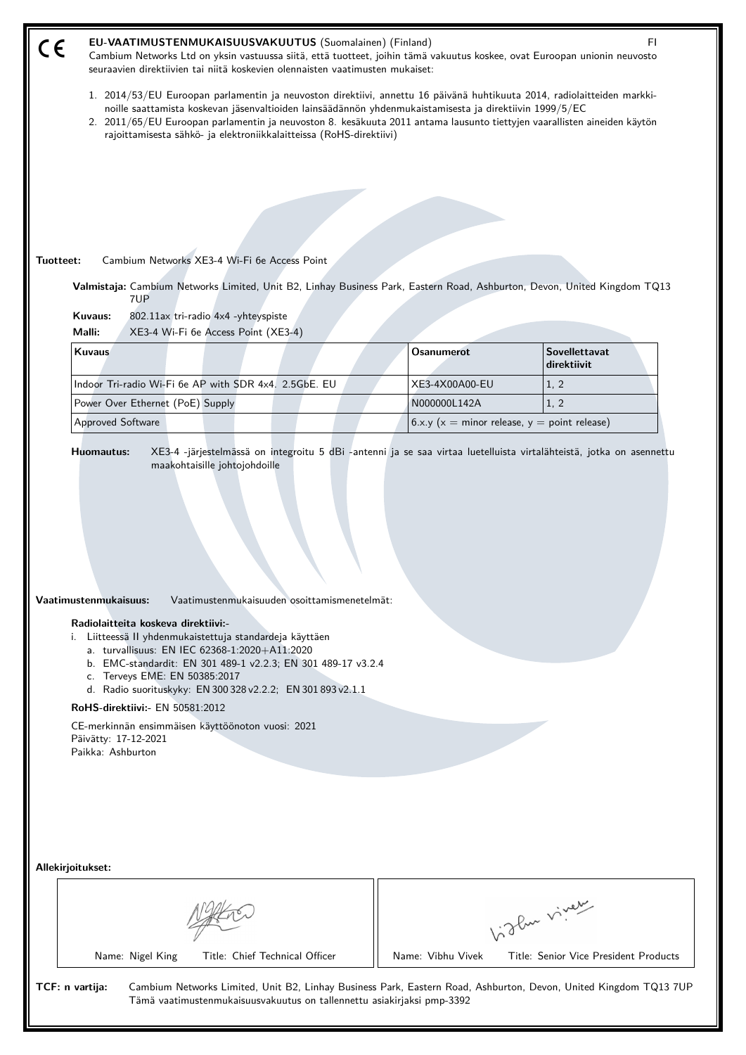| EU-VAATIMUSTENMUKAISUUSVAKUUTUS (Suomalainen) (Finland)<br>FI.<br>CE<br>Cambium Networks Ltd on yksin vastuussa siitä, että tuotteet, joihin tämä vakuutus koskee, ovat Euroopan unionin neuvosto<br>seuraavien direktiivien tai niitä koskevien olennaisten vaatimusten mukaiset:                                                                                                                                                                                                                                                 |                                               |                                                     |  |
|------------------------------------------------------------------------------------------------------------------------------------------------------------------------------------------------------------------------------------------------------------------------------------------------------------------------------------------------------------------------------------------------------------------------------------------------------------------------------------------------------------------------------------|-----------------------------------------------|-----------------------------------------------------|--|
| 1. 2014/53/EU Euroopan parlamentin ja neuvoston direktiivi, annettu 16 päivänä huhtikuuta 2014, radiolaitteiden markki-<br>noille saattamista koskevan jäsenvaltioiden lainsäädännön yhdenmukaistamisesta ja direktiivin 1999/5/EC<br>2. 2011/65/EU Euroopan parlamentin ja neuvoston 8. kesäkuuta 2011 antama lausunto tiettyjen vaarallisten aineiden käytön<br>rajoittamisesta sähkö- ja elektroniikkalaitteissa (RoHS-direktiivi)                                                                                              |                                               |                                                     |  |
|                                                                                                                                                                                                                                                                                                                                                                                                                                                                                                                                    |                                               |                                                     |  |
|                                                                                                                                                                                                                                                                                                                                                                                                                                                                                                                                    |                                               |                                                     |  |
|                                                                                                                                                                                                                                                                                                                                                                                                                                                                                                                                    |                                               |                                                     |  |
|                                                                                                                                                                                                                                                                                                                                                                                                                                                                                                                                    |                                               |                                                     |  |
| Tuotteet:<br>Cambium Networks XE3-4 Wi-Fi 6e Access Point                                                                                                                                                                                                                                                                                                                                                                                                                                                                          |                                               |                                                     |  |
| Valmistaja: Cambium Networks Limited, Unit B2, Linhay Business Park, Eastern Road, Ashburton, Devon, United Kingdom TQ13<br>7UP                                                                                                                                                                                                                                                                                                                                                                                                    |                                               |                                                     |  |
| Kuvaus:<br>802.11ax tri-radio 4x4 -yhteyspiste                                                                                                                                                                                                                                                                                                                                                                                                                                                                                     |                                               |                                                     |  |
| Malli:<br>XE3-4 Wi-Fi 6e Access Point (XE3-4)<br><b>Kuvaus</b>                                                                                                                                                                                                                                                                                                                                                                                                                                                                     | <b>Osanumerot</b>                             | Sovellettavat                                       |  |
|                                                                                                                                                                                                                                                                                                                                                                                                                                                                                                                                    |                                               | direktiivit                                         |  |
| Indoor Tri-radio Wi-Fi 6e AP with SDR 4x4. 2.5GbE. EU                                                                                                                                                                                                                                                                                                                                                                                                                                                                              | XE3-4X00A00-EU                                | 1, 2                                                |  |
| Power Over Ethernet (PoE) Supply                                                                                                                                                                                                                                                                                                                                                                                                                                                                                                   | N000000L142A                                  | 1, 2                                                |  |
| Approved Software                                                                                                                                                                                                                                                                                                                                                                                                                                                                                                                  | $6.x.y(x = minor release, y = point release)$ |                                                     |  |
| Vaatimustenmukaisuus:<br>Vaatimustenmukaisuuden osoittamismenetelmät:<br>Radiolaitteita koskeva direktiivi:-<br>Liitteessä II yhdenmukaistettuja standardeja käyttäen<br>i.<br>a. turvallisuus: EN IEC 62368-1:2020+A11:2020<br>b. EMC-standardit: EN 301 489-1 v2.2.3; EN 301 489-17 v3.2.4<br>c. Terveys EME: EN 50385:2017<br>d. Radio suorituskyky: EN 300 328 v2.2.2; EN 301 893 v2.1.1<br>RoHS-direktiivi: - EN 50581:2012<br>CE-merkinnän ensimmäisen käyttöönoton vuosi: 2021<br>Päivätty: 17-12-2021<br>Paikka: Ashburton |                                               |                                                     |  |
| Allekirjoitukset:                                                                                                                                                                                                                                                                                                                                                                                                                                                                                                                  |                                               |                                                     |  |
| Name: Nigel King<br>Title: Chief Technical Officer                                                                                                                                                                                                                                                                                                                                                                                                                                                                                 | Name: Vibhu Vivek                             | like viney<br>Title: Senior Vice President Products |  |
| TCF: n vartija:<br>Cambium Networks Limited, Unit B2, Linhay Business Park, Eastern Road, Ashburton, Devon, United Kingdom TQ13 7UP<br>Tämä vaatimustenmukaisuusvakuutus on tallennettu asiakirjaksi pmp-3392                                                                                                                                                                                                                                                                                                                      |                                               |                                                     |  |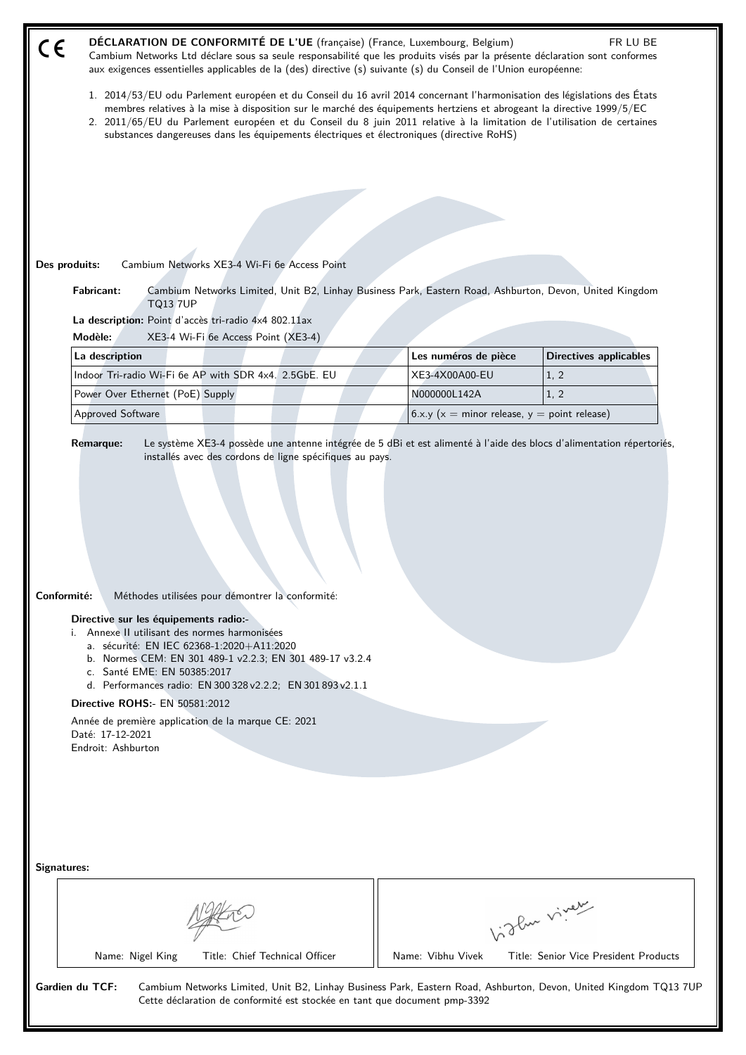| CE<br>Cambium Networks Ltd déclare sous sa seule responsabilité que les produits visés par la présente déclaration sont conformes<br>aux exigences essentielles applicables de la (des) directive (s) suivante (s) du Conseil de l'Union européenne:                                                                                                                                                                                                                       |                                                   |                               |
|----------------------------------------------------------------------------------------------------------------------------------------------------------------------------------------------------------------------------------------------------------------------------------------------------------------------------------------------------------------------------------------------------------------------------------------------------------------------------|---------------------------------------------------|-------------------------------|
| 1. 2014/53/EU odu Parlement européen et du Conseil du 16 avril 2014 concernant l'harmonisation des législations des États<br>membres relatives à la mise à disposition sur le marché des équipements hertziens et abrogeant la directive 1999/5/EC<br>2. 2011/65/EU du Parlement européen et du Conseil du 8 juin 2011 relative à la limitation de l'utilisation de certaines<br>substances dangereuses dans les équipements électriques et électroniques (directive RoHS) |                                                   |                               |
|                                                                                                                                                                                                                                                                                                                                                                                                                                                                            |                                                   |                               |
|                                                                                                                                                                                                                                                                                                                                                                                                                                                                            |                                                   |                               |
|                                                                                                                                                                                                                                                                                                                                                                                                                                                                            |                                                   |                               |
|                                                                                                                                                                                                                                                                                                                                                                                                                                                                            |                                                   |                               |
| Des produits:<br>Cambium Networks XE3-4 Wi-Fi 6e Access Point                                                                                                                                                                                                                                                                                                                                                                                                              |                                                   |                               |
| <b>Fabricant:</b><br>Cambium Networks Limited, Unit B2, Linhay Business Park, Eastern Road, Ashburton, Devon, United Kingdom<br><b>TQ13 7UP</b>                                                                                                                                                                                                                                                                                                                            |                                                   |                               |
| La description: Point d'accès tri-radio 4x4 802.11ax<br>Modèle:<br>XE3-4 Wi-Fi 6e Access Point (XE3-4)                                                                                                                                                                                                                                                                                                                                                                     |                                                   |                               |
| La description                                                                                                                                                                                                                                                                                                                                                                                                                                                             | Les numéros de pièce                              | <b>Directives applicables</b> |
| Indoor Tri-radio Wi-Fi 6e AP with SDR 4x4. 2.5GbE. EU                                                                                                                                                                                                                                                                                                                                                                                                                      | XE3-4X00A00-EU                                    | 1, 2                          |
| Power Over Ethernet (PoE) Supply                                                                                                                                                                                                                                                                                                                                                                                                                                           | N000000L142A                                      | 1, 2                          |
| Approved Software                                                                                                                                                                                                                                                                                                                                                                                                                                                          | 6.x.y ( $x =$ minor release, $y =$ point release) |                               |
| Le système XE3-4 possède une antenne intégrée de 5 dBi et est alimenté à l'aide des blocs d'alimentation répertoriés,<br><b>Remarque:</b><br>installés avec des cordons de ligne spécifiques au pays.                                                                                                                                                                                                                                                                      |                                                   |                               |
| Conformité:<br>Méthodes utilisées pour démontrer la conformité:<br>Directive sur les équipements radio:-<br>i. Annexe II utilisant des normes harmonisées<br>a. sécurité: EN IEC 62368-1:2020+A11:2020<br>b. Normes CEM: EN 301 489-1 v2.2.3; EN 301 489-17 v3.2.4<br>c. Santé EME: EN 50385:2017                                                                                                                                                                          |                                                   |                               |
| d. Performances radio: EN 300 328 v2.2.2; EN 301 893 v2.1.1                                                                                                                                                                                                                                                                                                                                                                                                                |                                                   |                               |
| Directive ROHS:- EN 50581:2012<br>Année de première application de la marque CE: 2021<br>Daté: 17-12-2021                                                                                                                                                                                                                                                                                                                                                                  |                                                   |                               |
| Endroit: Ashburton                                                                                                                                                                                                                                                                                                                                                                                                                                                         |                                                   |                               |
|                                                                                                                                                                                                                                                                                                                                                                                                                                                                            |                                                   |                               |
|                                                                                                                                                                                                                                                                                                                                                                                                                                                                            |                                                   |                               |
| Signatures:                                                                                                                                                                                                                                                                                                                                                                                                                                                                |                                                   |                               |
|                                                                                                                                                                                                                                                                                                                                                                                                                                                                            |                                                   | biglan viney                  |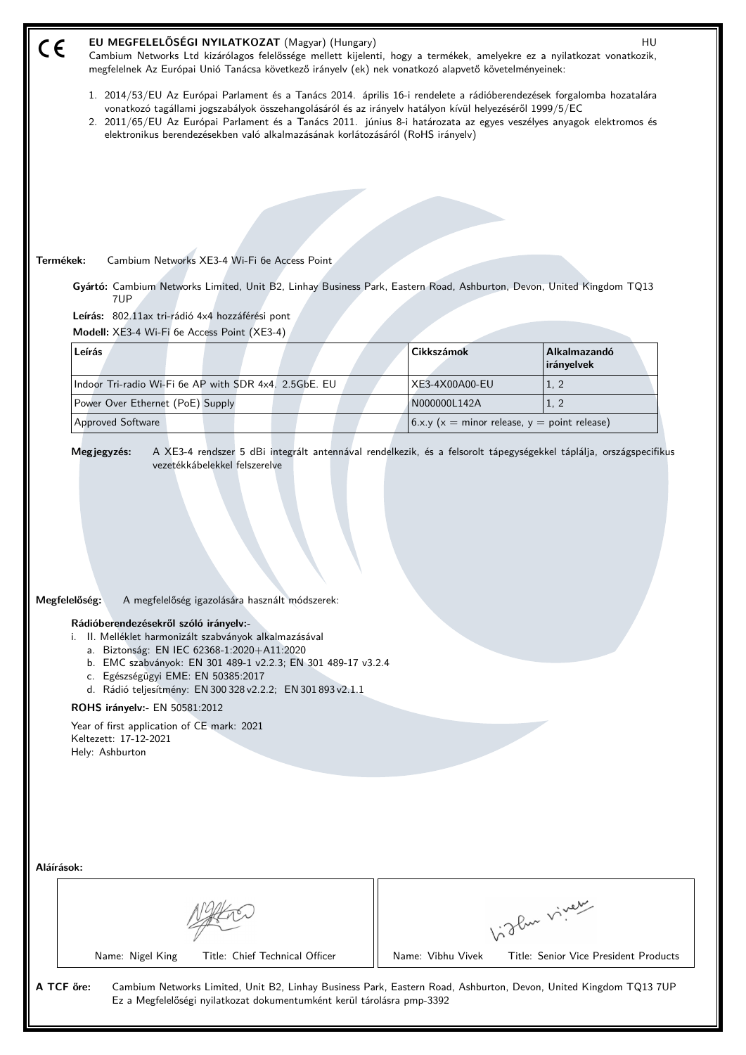| EU MEGFELELŐSÉGI NYILATKOZAT (Magyar) (Hungary)<br>HU<br>C€<br>Cambium Networks Ltd kizárólagos felelőssége mellett kijelenti, hogy a termékek, amelyekre ez a nyilatkozat vonatkozik,<br>megfelelnek Az Európai Unió Tanácsa következő irányelv (ek) nek vonatkozó alapvető követelményeinek:                                                                                                                                                                                                                   |                   |                                                   |  |
|------------------------------------------------------------------------------------------------------------------------------------------------------------------------------------------------------------------------------------------------------------------------------------------------------------------------------------------------------------------------------------------------------------------------------------------------------------------------------------------------------------------|-------------------|---------------------------------------------------|--|
| 1. 2014/53/EU Az Európai Parlament és a Tanács 2014. április 16-i rendelete a rádióberendezések forgalomba hozatalára<br>vonatkozó tagállami jogszabályok összehangolásáról és az irányelv hatályon kívül helyezéséről 1999/5/EC<br>2. 2011/65/EU Az Európai Parlament és a Tanács 2011. június 8-i határozata az egyes veszélyes anyagok elektromos és<br>elektronikus berendezésekben való alkalmazásának korlátozásáról (RoHS irányelv)                                                                       |                   |                                                   |  |
|                                                                                                                                                                                                                                                                                                                                                                                                                                                                                                                  |                   |                                                   |  |
|                                                                                                                                                                                                                                                                                                                                                                                                                                                                                                                  |                   |                                                   |  |
|                                                                                                                                                                                                                                                                                                                                                                                                                                                                                                                  |                   |                                                   |  |
|                                                                                                                                                                                                                                                                                                                                                                                                                                                                                                                  |                   |                                                   |  |
| Termékek:<br>Cambium Networks XE3-4 Wi-Fi 6e Access Point                                                                                                                                                                                                                                                                                                                                                                                                                                                        |                   |                                                   |  |
| Gyártó: Cambium Networks Limited, Unit B2, Linhay Business Park, Eastern Road, Ashburton, Devon, United Kingdom TQ13<br>7UP                                                                                                                                                                                                                                                                                                                                                                                      |                   |                                                   |  |
| Leírás: 802.11ax tri-rádió 4x4 hozzáférési pont                                                                                                                                                                                                                                                                                                                                                                                                                                                                  |                   |                                                   |  |
| Modell: XE3-4 Wi-Fi 6e Access Point (XE3-4)<br>Leírás                                                                                                                                                                                                                                                                                                                                                                                                                                                            | <b>Cikkszámok</b> | Alkalmazandó                                      |  |
|                                                                                                                                                                                                                                                                                                                                                                                                                                                                                                                  |                   | irányelvek                                        |  |
| Indoor Tri-radio Wi-Fi 6e AP with SDR 4x4. 2.5GbE. EU                                                                                                                                                                                                                                                                                                                                                                                                                                                            | XE3-4X00A00-EU    | 1, 2                                              |  |
| Power Over Ethernet (PoE) Supply                                                                                                                                                                                                                                                                                                                                                                                                                                                                                 | N000000L142A      | 1, 2                                              |  |
| Approved Software                                                                                                                                                                                                                                                                                                                                                                                                                                                                                                |                   | 6.x.y ( $x =$ minor release, $y =$ point release) |  |
| Megfelelőség:<br>A megfelelőség igazolására használt módszerek:<br>Rádióberendezésekről szóló irányelv:-<br>i. II. Melléklet harmonizált szabványok alkalmazásával<br>a. Biztonság: EN IEC 62368-1:2020+A11:2020<br>b. EMC szabványok: EN 301 489-1 v2.2.3; EN 301 489-17 v3.2.4<br>c. Egészségügyi EME: EN 50385:2017<br>d. Rádió teljesítmény: EN 300 328 v2.2.2; EN 301 893 v2.1.1<br>ROHS irányelv:- EN 50581:2012<br>Year of first application of CE mark: 2021<br>Keltezett: 17-12-2021<br>Hely: Ashburton |                   |                                                   |  |
| Aláírások:                                                                                                                                                                                                                                                                                                                                                                                                                                                                                                       |                   | Like viney                                        |  |
| Name: Nigel King<br>Title: Chief Technical Officer                                                                                                                                                                                                                                                                                                                                                                                                                                                               | Name: Vibhu Vivek | Title: Senior Vice President Products             |  |
| A TCF őre:<br>Cambium Networks Limited, Unit B2, Linhay Business Park, Eastern Road, Ashburton, Devon, United Kingdom TQ13 7UP<br>Ez a Megfelelőségi nyilatkozat dokumentumként kerül tárolásra pmp-3392                                                                                                                                                                                                                                                                                                         |                   |                                                   |  |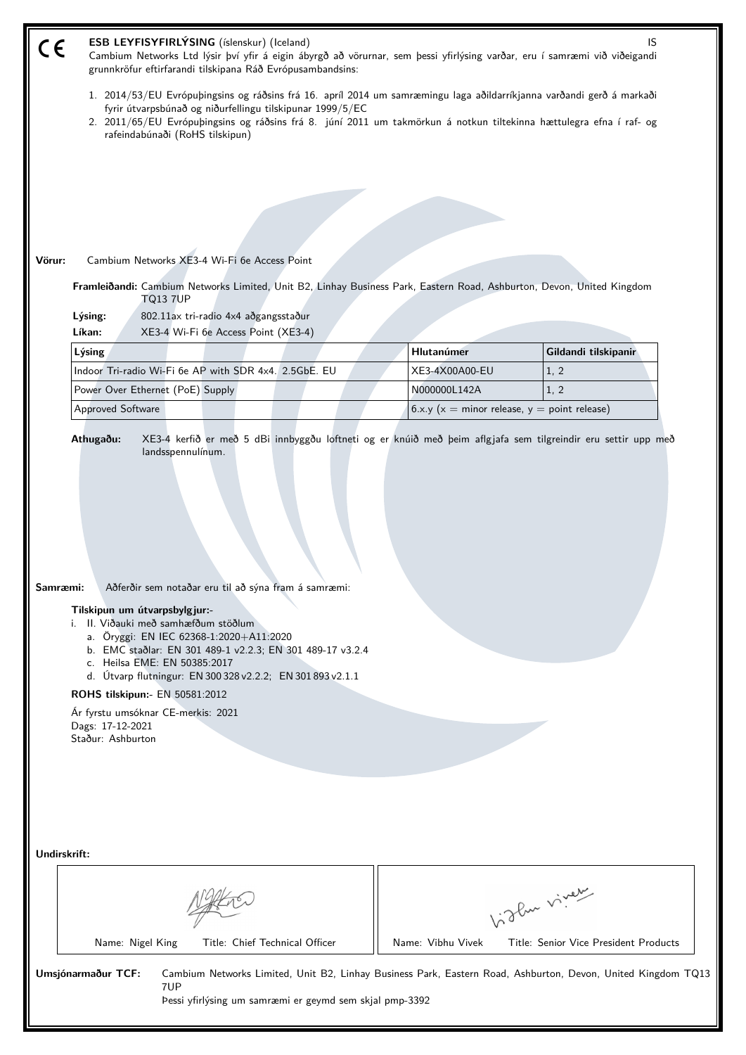|              | ESB LEYFISYFIRLÝSING (íslenskur) (Iceland)                                                                                                                                                                                                                                                                                                                                                                                                           |                   | IS                                                |  |  |
|--------------|------------------------------------------------------------------------------------------------------------------------------------------------------------------------------------------------------------------------------------------------------------------------------------------------------------------------------------------------------------------------------------------------------------------------------------------------------|-------------------|---------------------------------------------------|--|--|
| CE           | Cambium Networks Ltd lýsir því yfir á eigin ábyrgð að vörurnar, sem þessi yfirlýsing varðar, eru í samræmi við viðeigandi<br>grunnkröfur eftirfarandi tilskipana Ráð Evrópusambandsins:                                                                                                                                                                                                                                                              |                   |                                                   |  |  |
|              | 1. 2014/53/EU Evrópuþingsins og ráðsins frá 16. apríl 2014 um samræmingu laga aðildarríkjanna varðandi gerð á markaði                                                                                                                                                                                                                                                                                                                                |                   |                                                   |  |  |
|              | fyrir útvarpsbúnað og niðurfellingu tilskipunar 1999/5/EC<br>2. 2011/65/EU Evrópuþingsins og ráðsins frá 8. júní 2011 um takmörkun á notkun tiltekinna hættulegra efna í raf- og                                                                                                                                                                                                                                                                     |                   |                                                   |  |  |
|              | rafeindabúnaði (RoHS tilskipun)                                                                                                                                                                                                                                                                                                                                                                                                                      |                   |                                                   |  |  |
|              |                                                                                                                                                                                                                                                                                                                                                                                                                                                      |                   |                                                   |  |  |
|              |                                                                                                                                                                                                                                                                                                                                                                                                                                                      |                   |                                                   |  |  |
|              |                                                                                                                                                                                                                                                                                                                                                                                                                                                      |                   |                                                   |  |  |
|              |                                                                                                                                                                                                                                                                                                                                                                                                                                                      |                   |                                                   |  |  |
|              |                                                                                                                                                                                                                                                                                                                                                                                                                                                      |                   |                                                   |  |  |
| Vörur:       | Cambium Networks XE3-4 Wi-Fi 6e Access Point                                                                                                                                                                                                                                                                                                                                                                                                         |                   |                                                   |  |  |
|              | Framleiðandi: Cambium Networks Limited, Unit B2, Linhay Business Park, Eastern Road, Ashburton, Devon, United Kingdom<br><b>TQ13 7UP</b>                                                                                                                                                                                                                                                                                                             |                   |                                                   |  |  |
|              | Lýsing:<br>802.11ax tri-radio 4x4 aðgangsstaður                                                                                                                                                                                                                                                                                                                                                                                                      |                   |                                                   |  |  |
|              | Líkan:<br>XE3-4 Wi-Fi 6e Access Point (XE3-4)                                                                                                                                                                                                                                                                                                                                                                                                        |                   |                                                   |  |  |
|              | Lýsing                                                                                                                                                                                                                                                                                                                                                                                                                                               | Hlutanúmer        | Gildandi tilskipanir                              |  |  |
|              | Indoor Tri-radio Wi-Fi 6e AP with SDR 4x4. 2.5GbE. EU                                                                                                                                                                                                                                                                                                                                                                                                | XE3-4X00A00-EU    | 1, 2                                              |  |  |
|              | Power Over Ethernet (PoE) Supply                                                                                                                                                                                                                                                                                                                                                                                                                     | N000000L142A      | 1, 2                                              |  |  |
|              | Approved Software                                                                                                                                                                                                                                                                                                                                                                                                                                    |                   | 6.x.y ( $x =$ minor release, $y =$ point release) |  |  |
| Samræmi:     | Aðferðir sem notaðar eru til að sýna fram á samræmi:<br>Tilskipun um útvarpsbylgjur:-<br>i. II. Viðauki með samhæfðum stöðlum<br>a. Öryggi: EN IEC 62368-1:2020+A11:2020<br>b. EMC staðlar: EN 301 489-1 v2.2.3; EN 301 489-17 v3.2.4<br>c. Heilsa EME: EN 50385:2017<br>d. Útvarp flutningur: EN 300 328 v2.2.2; EN 301 893 v2.1.1<br>ROHS tilskipun:- EN 50581:2012<br>Ár fyrstu umsóknar CE-merkis: 2021<br>Dags: 17-12-2021<br>Staður: Ashburton |                   |                                                   |  |  |
| Undirskrift: |                                                                                                                                                                                                                                                                                                                                                                                                                                                      |                   |                                                   |  |  |
|              |                                                                                                                                                                                                                                                                                                                                                                                                                                                      |                   |                                                   |  |  |
|              |                                                                                                                                                                                                                                                                                                                                                                                                                                                      |                   | Like viney                                        |  |  |
|              |                                                                                                                                                                                                                                                                                                                                                                                                                                                      |                   |                                                   |  |  |
|              | Name: Nigel King<br>Title: Chief Technical Officer                                                                                                                                                                                                                                                                                                                                                                                                   | Name: Vibhu Vivek | Title: Senior Vice President Products             |  |  |
|              |                                                                                                                                                                                                                                                                                                                                                                                                                                                      |                   |                                                   |  |  |
|              | Umsjónarmaður TCF:<br>Cambium Networks Limited, Unit B2, Linhay Business Park, Eastern Road, Ashburton, Devon, United Kingdom TQ13<br>7UP<br>Pessi yfirlýsing um samræmi er geymd sem skjal pmp-3392                                                                                                                                                                                                                                                 |                   |                                                   |  |  |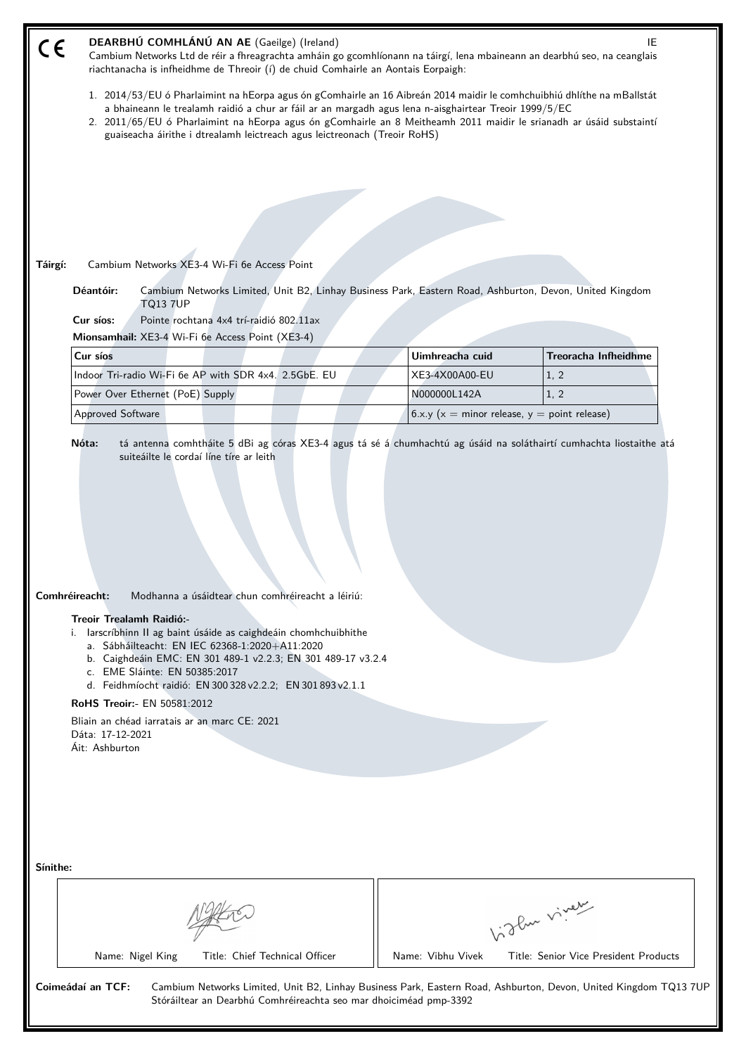| CE       | DEARBHÚ COMHLÁNÚ AN AE (Gaeilge) (Ireland)<br>Cambium Networks Ltd de réir a fhreagrachta amháin go gcomhlíonann na táirgí, lena mbaineann an dearbhú seo, na ceanglais<br>riachtanacha is infheidhme de Threoir (í) de chuid Comhairle an Aontais Eorpaigh:                                                                                                                                                                                                                                                |                   | IE                                                    |  |
|----------|-------------------------------------------------------------------------------------------------------------------------------------------------------------------------------------------------------------------------------------------------------------------------------------------------------------------------------------------------------------------------------------------------------------------------------------------------------------------------------------------------------------|-------------------|-------------------------------------------------------|--|
|          | 1. 2014/53/EU ó Pharlaimint na hEorpa agus ón gComhairle an 16 Aibreán 2014 maidir le comhchuibhiú dhlíthe na mBallstát<br>a bhaineann le trealamh raidió a chur ar fáil ar an margadh agus lena n-aisghairtear Treoir 1999/5/EC<br>2. 2011/65/EU ó Pharlaimint na hEorpa agus ón gComhairle an 8 Meitheamh 2011 maidir le srianadh ar úsáid substaintí<br>guaiseacha áirithe i dtrealamh leictreach agus leictreonach (Treoir RoHS)                                                                        |                   |                                                       |  |
|          |                                                                                                                                                                                                                                                                                                                                                                                                                                                                                                             |                   |                                                       |  |
|          |                                                                                                                                                                                                                                                                                                                                                                                                                                                                                                             |                   |                                                       |  |
|          |                                                                                                                                                                                                                                                                                                                                                                                                                                                                                                             |                   |                                                       |  |
|          | Cambium Networks XE3-4 Wi-Fi 6e Access Point                                                                                                                                                                                                                                                                                                                                                                                                                                                                |                   |                                                       |  |
| Táirgí:  | Déantóir:<br>Cambium Networks Limited, Unit B2, Linhay Business Park, Eastern Road, Ashburton, Devon, United Kingdom                                                                                                                                                                                                                                                                                                                                                                                        |                   |                                                       |  |
|          | <b>TQ13 7UP</b>                                                                                                                                                                                                                                                                                                                                                                                                                                                                                             |                   |                                                       |  |
|          | Cur síos:<br>Pointe rochtana 4x4 trí-raidió 802.11ax<br>Mionsamhail: XE3-4 Wi-Fi 6e Access Point (XE3-4)                                                                                                                                                                                                                                                                                                                                                                                                    |                   |                                                       |  |
|          | Cur síos                                                                                                                                                                                                                                                                                                                                                                                                                                                                                                    | Uimhreacha cuid   | <b>Treoracha Infheidhme</b>                           |  |
|          | Indoor Tri-radio Wi-Fi 6e AP with SDR 4x4. 2.5GbE. EU                                                                                                                                                                                                                                                                                                                                                                                                                                                       | XE3-4X00A00-EU    | 1, 2                                                  |  |
|          | Power Over Ethernet (PoE) Supply                                                                                                                                                                                                                                                                                                                                                                                                                                                                            | N000000L142A      | 1, 2                                                  |  |
|          | Approved Software                                                                                                                                                                                                                                                                                                                                                                                                                                                                                           |                   | 6.x.y ( $x =$ minor release, $y =$ point release)     |  |
|          | Comhréireacht:<br>Modhanna a úsáidtear chun comhréireacht a léiriú:<br>Treoir Trealamh Raidió:-<br>i. larscríbhinn II ag baint úsáide as caighdeáin chomhchuibhithe<br>a. Sábháilteacht: EN IEC 62368-1:2020+A11:2020<br>b. Caighdeáin EMC: EN 301 489-1 v2.2.3; EN 301 489-17 v3.2.4<br>c. EME Sláinte: EN 50385:2017<br>d. Feidhmíocht raidió: EN 300 328 v2.2.2; EN 301 893 v2.1.1<br>RoHS Treoir:- EN 50581:2012<br>Bliain an chéad iarratais ar an marc CE: 2021<br>Dáta: 17-12-2021<br>Áit: Ashburton |                   |                                                       |  |
| Sínithe: | Name: Nigel King<br>Title: Chief Technical Officer                                                                                                                                                                                                                                                                                                                                                                                                                                                          | Name: Vibhu Vivek | Vidlen viner<br>Title: Senior Vice President Products |  |
|          |                                                                                                                                                                                                                                                                                                                                                                                                                                                                                                             |                   |                                                       |  |
|          | Coimeádaí an TCF:<br>Cambium Networks Limited, Unit B2, Linhay Business Park, Eastern Road, Ashburton, Devon, United Kingdom TQ137UF<br>Stóráiltear an Dearbhú Comhréireachta seo mar dhoiciméad pmp-3392                                                                                                                                                                                                                                                                                                   |                   |                                                       |  |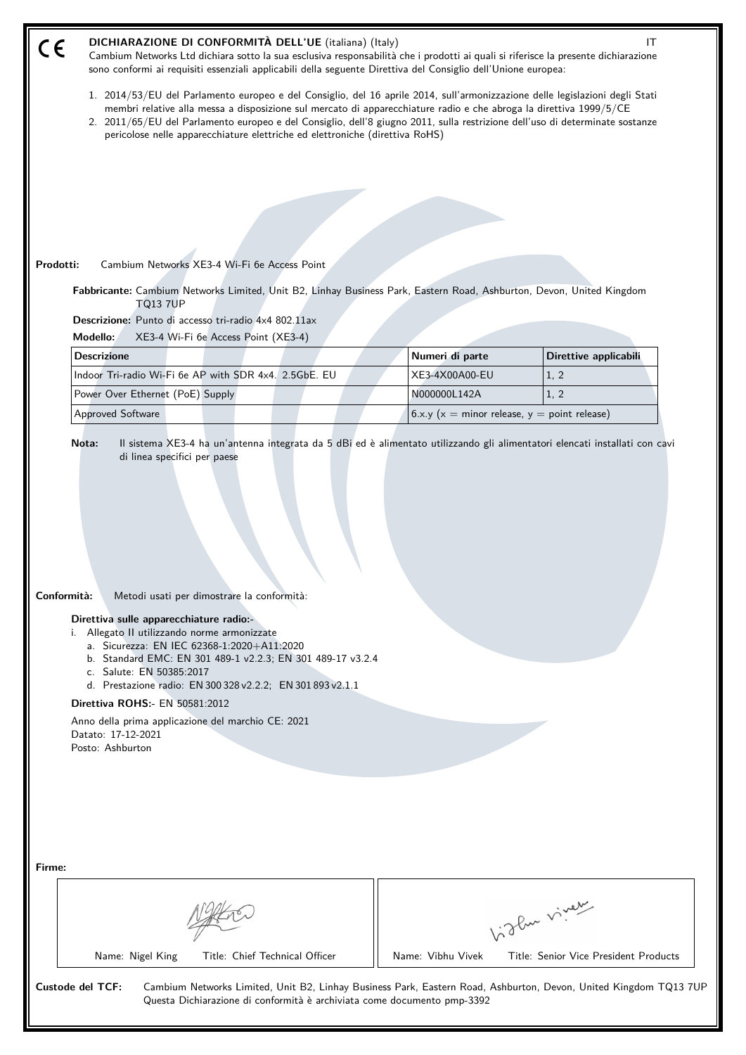| DICHIARAZIONE DI CONFORMITÀ DELL'UE (italiana) (Italy)<br>$C \in$<br>Cambium Networks Ltd dichiara sotto la sua esclusiva responsabilità che i prodotti ai quali si riferisce la presente dichiarazione<br>sono conformi ai requisiti essenziali applicabili della seguente Direttiva del Consiglio dell'Unione europea:                                                                                                                                                                            |                                               | IT                                    |  |
|-----------------------------------------------------------------------------------------------------------------------------------------------------------------------------------------------------------------------------------------------------------------------------------------------------------------------------------------------------------------------------------------------------------------------------------------------------------------------------------------------------|-----------------------------------------------|---------------------------------------|--|
| 1. 2014/53/EU del Parlamento europeo e del Consiglio, del 16 aprile 2014, sull'armonizzazione delle legislazioni degli Stati<br>membri relative alla messa a disposizione sul mercato di apparecchiature radio e che abroga la direttiva 1999/5/CE<br>2. 2011/65/EU del Parlamento europeo e del Consiglio, dell'8 giugno 2011, sulla restrizione dell'uso di determinate sostanze<br>pericolose nelle apparecchiature elettriche ed elettroniche (direttiva RoHS)                                  |                                               |                                       |  |
|                                                                                                                                                                                                                                                                                                                                                                                                                                                                                                     |                                               |                                       |  |
|                                                                                                                                                                                                                                                                                                                                                                                                                                                                                                     |                                               |                                       |  |
|                                                                                                                                                                                                                                                                                                                                                                                                                                                                                                     |                                               |                                       |  |
| Prodotti:<br>Cambium Networks XE3-4 Wi-Fi 6e Access Point                                                                                                                                                                                                                                                                                                                                                                                                                                           |                                               |                                       |  |
| Fabbricante: Cambium Networks Limited, Unit B2, Linhay Business Park, Eastern Road, Ashburton, Devon, United Kingdom                                                                                                                                                                                                                                                                                                                                                                                |                                               |                                       |  |
| <b>TQ13 7UP</b><br>Descrizione: Punto di accesso tri-radio 4x4 802.11ax                                                                                                                                                                                                                                                                                                                                                                                                                             |                                               |                                       |  |
| Modello:<br>XE3-4 Wi-Fi 6e Access Point (XE3-4)                                                                                                                                                                                                                                                                                                                                                                                                                                                     |                                               |                                       |  |
| <b>Descrizione</b>                                                                                                                                                                                                                                                                                                                                                                                                                                                                                  | Numeri di parte                               | Direttive applicabili                 |  |
| Indoor Tri-radio Wi-Fi 6e AP with SDR 4x4. 2.5GbE. EU                                                                                                                                                                                                                                                                                                                                                                                                                                               | XE3-4X00A00-EU                                | 1, 2                                  |  |
| Power Over Ethernet (PoE) Supply                                                                                                                                                                                                                                                                                                                                                                                                                                                                    | N000000L142A                                  | 1, 2                                  |  |
| <b>Approved Software</b>                                                                                                                                                                                                                                                                                                                                                                                                                                                                            | $6.x.y(x = minor release, y = point release)$ |                                       |  |
| Conformità:<br>Metodi usati per dimostrare la conformità:<br>Direttiva sulle apparecchiature radio:-<br>i. Allegato II utilizzando norme armonizzate<br>a. Sicurezza: EN IEC 62368-1:2020+A11:2020<br>b. Standard EMC: EN 301 489-1 v2.2.3; EN 301 489-17 v3.2.4<br>c. Salute: EN 50385:2017<br>d. Prestazione radio: EN 300 328 v2.2.2; EN 301 893 v2.1.1<br><b>Direttiva ROHS:- EN 50581:2012</b><br>Anno della prima applicazione del marchio CE: 2021<br>Datato: 17-12-2021<br>Posto: Ashburton |                                               |                                       |  |
| Firme:                                                                                                                                                                                                                                                                                                                                                                                                                                                                                              |                                               | birthe vivey                          |  |
| Name: Nigel King<br>Title: Chief Technical Officer                                                                                                                                                                                                                                                                                                                                                                                                                                                  | Name: Vibhu Vivek                             | Title: Senior Vice President Products |  |
| <b>Custode del TCF:</b><br>Cambium Networks Limited, Unit B2, Linhay Business Park, Eastern Road, Ashburton, Devon, United Kingdom TQ13 7UP<br>Questa Dichiarazione di conformità è archiviata come documento pmp-3392                                                                                                                                                                                                                                                                              |                                               |                                       |  |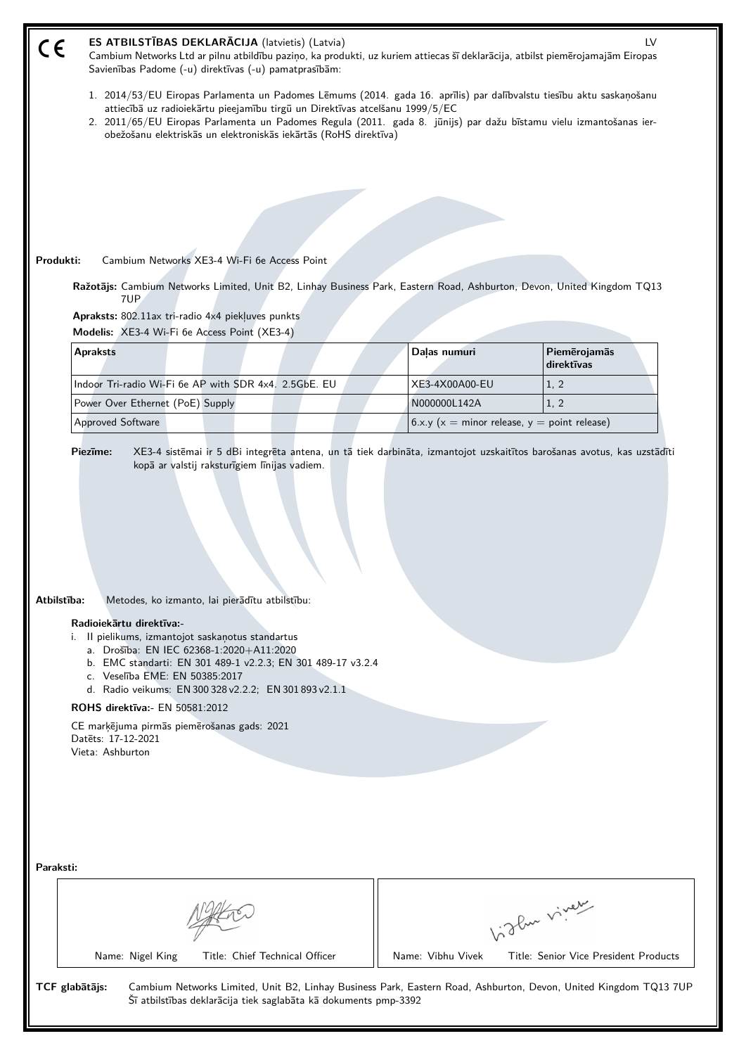| CE                                                                                                                                                                                                                                                                                                                                                                                                                                                                                        | ES ATBILSTĪBAS DEKLARĀCIJA (latvietis) (Latvia)<br>LV<br>Cambium Networks Ltd ar pilnu atbildību paziņo, ka produkti, uz kuriem attiecas šī deklarācija, atbilst piemērojamajām Eiropas<br>Savienības Padome (-u) direktīvas (-u) pamatprasībām:                                                                                                                                               |                                                   |                                       |  |
|-------------------------------------------------------------------------------------------------------------------------------------------------------------------------------------------------------------------------------------------------------------------------------------------------------------------------------------------------------------------------------------------------------------------------------------------------------------------------------------------|------------------------------------------------------------------------------------------------------------------------------------------------------------------------------------------------------------------------------------------------------------------------------------------------------------------------------------------------------------------------------------------------|---------------------------------------------------|---------------------------------------|--|
|                                                                                                                                                                                                                                                                                                                                                                                                                                                                                           | 1. 2014/53/EU Eiropas Parlamenta un Padomes Lēmums (2014. gada 16. aprīlis) par dalībvalstu tiesību aktu saskaņošanu<br>attiecībā uz radioiekārtu pieejamību tirgū un Direktīvas atcelšanu 1999/5/EC<br>2. 2011/65/EU Eiropas Parlamenta un Padomes Regula (2011. gada 8. jūnijs) par dažu bīstamu vielu izmantošanas ier-<br>obežošanu elektriskās un elektroniskās iekārtās (RoHS direktīva) |                                                   |                                       |  |
|                                                                                                                                                                                                                                                                                                                                                                                                                                                                                           |                                                                                                                                                                                                                                                                                                                                                                                                |                                                   |                                       |  |
|                                                                                                                                                                                                                                                                                                                                                                                                                                                                                           |                                                                                                                                                                                                                                                                                                                                                                                                |                                                   |                                       |  |
|                                                                                                                                                                                                                                                                                                                                                                                                                                                                                           |                                                                                                                                                                                                                                                                                                                                                                                                |                                                   |                                       |  |
|                                                                                                                                                                                                                                                                                                                                                                                                                                                                                           | Produkti:<br>Cambium Networks XE3-4 Wi-Fi 6e Access Point                                                                                                                                                                                                                                                                                                                                      |                                                   |                                       |  |
|                                                                                                                                                                                                                                                                                                                                                                                                                                                                                           | Ražotājs: Cambium Networks Limited, Unit B2, Linhay Business Park, Eastern Road, Ashburton, Devon, United Kingdom TQ13                                                                                                                                                                                                                                                                         |                                                   |                                       |  |
|                                                                                                                                                                                                                                                                                                                                                                                                                                                                                           | 7UP<br>Apraksts: 802.11ax tri-radio 4x4 piekļuves punkts                                                                                                                                                                                                                                                                                                                                       |                                                   |                                       |  |
|                                                                                                                                                                                                                                                                                                                                                                                                                                                                                           | Modelis: XE3-4 Wi-Fi 6e Access Point (XE3-4)                                                                                                                                                                                                                                                                                                                                                   |                                                   |                                       |  |
|                                                                                                                                                                                                                                                                                                                                                                                                                                                                                           | <b>Apraksts</b>                                                                                                                                                                                                                                                                                                                                                                                | Daļas numuri                                      | Piemērojamās<br>direktīvas            |  |
|                                                                                                                                                                                                                                                                                                                                                                                                                                                                                           | Indoor Tri-radio Wi-Fi 6e AP with SDR 4x4. 2.5GbE. EU                                                                                                                                                                                                                                                                                                                                          | XE3-4X00A00-EU                                    | 1, 2                                  |  |
|                                                                                                                                                                                                                                                                                                                                                                                                                                                                                           | Power Over Ethernet (PoE) Supply                                                                                                                                                                                                                                                                                                                                                               | N000000L142A                                      | 1, 2                                  |  |
|                                                                                                                                                                                                                                                                                                                                                                                                                                                                                           | Approved Software                                                                                                                                                                                                                                                                                                                                                                              | 6.x.y ( $x =$ minor release, $y =$ point release) |                                       |  |
| Atbilstība:<br>Metodes, ko izmanto, lai pierādītu atbilstību:<br>Radioiekārtu direktīva:-<br>Il pielikums, izmantojot saskaņotus standartus<br>i.<br>a. Drošība: EN IEC 62368-1:2020+A11:2020<br>b. EMC standarti: EN 301 489-1 v2.2.3; EN 301 489-17 v3.2.4<br>c. Veselība EME: EN 50385:2017<br>d. Radio veikums: EN 300 328 v2.2.2; EN 301 893 v2.1.1<br><b>ROHS direktīva:</b> EN 50581:2012<br>CE marķējuma pirmās piemērošanas gads: 2021<br>Datets: 17-12-2021<br>Vieta: Ashburton |                                                                                                                                                                                                                                                                                                                                                                                                |                                                   |                                       |  |
| Paraksti:                                                                                                                                                                                                                                                                                                                                                                                                                                                                                 |                                                                                                                                                                                                                                                                                                                                                                                                |                                                   |                                       |  |
| Vigler virey                                                                                                                                                                                                                                                                                                                                                                                                                                                                              |                                                                                                                                                                                                                                                                                                                                                                                                |                                                   |                                       |  |
|                                                                                                                                                                                                                                                                                                                                                                                                                                                                                           | Name: Nigel King<br>Title: Chief Technical Officer                                                                                                                                                                                                                                                                                                                                             | Name: Vibhu Vivek                                 | Title: Senior Vice President Products |  |
| TCF glabātājs:<br>Cambium Networks Limited, Unit B2, Linhay Business Park, Eastern Road, Ashburton, Devon, United Kingdom TQ13 7UP<br>Šī atbilstības deklarācija tiek saglabāta kā dokuments pmp-3392                                                                                                                                                                                                                                                                                     |                                                                                                                                                                                                                                                                                                                                                                                                |                                                   |                                       |  |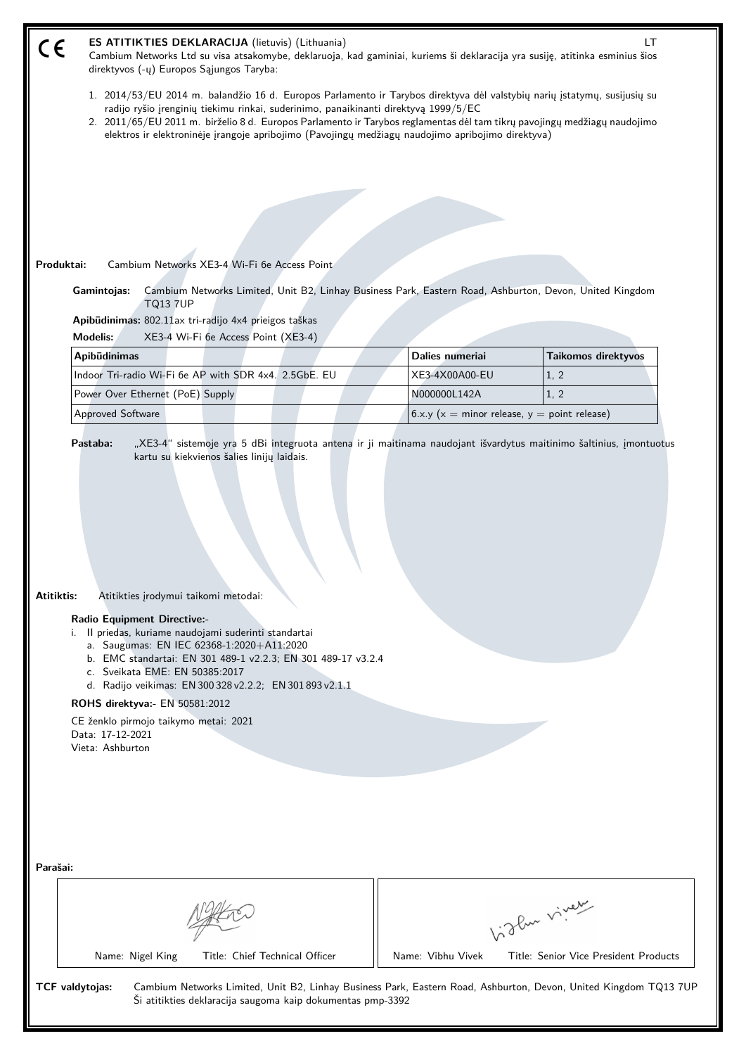| ES ATITIKTIES DEKLARACIJA (lietuvis) (Lithuania)<br>LT.<br>Cambium Networks Ltd su visa atsakomybe, deklaruoja, kad gaminiai, kuriems ši deklaracija yra susiję, atitinka esminius šios<br>direktyvos (-ų) Europos Sąjungos Taryba:                                                                                                                                                                                                                                             |                                                                                                                                                                                                                                                                                                                                                                                                                                                  |                                                       |  |  |
|---------------------------------------------------------------------------------------------------------------------------------------------------------------------------------------------------------------------------------------------------------------------------------------------------------------------------------------------------------------------------------------------------------------------------------------------------------------------------------|--------------------------------------------------------------------------------------------------------------------------------------------------------------------------------------------------------------------------------------------------------------------------------------------------------------------------------------------------------------------------------------------------------------------------------------------------|-------------------------------------------------------|--|--|
|                                                                                                                                                                                                                                                                                                                                                                                                                                                                                 | 1. 2014/53/EU 2014 m. balandžio 16 d. Europos Parlamento ir Tarybos direktyva dėl valstybių narių įstatymų, susijusių su<br>radijo ryšio įrenginių tiekimu rinkai, suderinimo, panaikinanti direktyvą 1999/5/EC<br>2. 2011/65/EU 2011 m. birželio 8 d. Europos Parlamento ir Tarybos reglamentas dėl tam tikrų pavojingų medžiagų naudojimo<br>elektros ir elektroninėje įrangoje apribojimo (Pavojingų medžiagų naudojimo apribojimo direktyva) |                                                       |  |  |
|                                                                                                                                                                                                                                                                                                                                                                                                                                                                                 |                                                                                                                                                                                                                                                                                                                                                                                                                                                  |                                                       |  |  |
|                                                                                                                                                                                                                                                                                                                                                                                                                                                                                 |                                                                                                                                                                                                                                                                                                                                                                                                                                                  |                                                       |  |  |
|                                                                                                                                                                                                                                                                                                                                                                                                                                                                                 |                                                                                                                                                                                                                                                                                                                                                                                                                                                  |                                                       |  |  |
|                                                                                                                                                                                                                                                                                                                                                                                                                                                                                 |                                                                                                                                                                                                                                                                                                                                                                                                                                                  |                                                       |  |  |
| Cambium Networks XE3-4 Wi-Fi 6e Access Point<br>Produktai:                                                                                                                                                                                                                                                                                                                                                                                                                      |                                                                                                                                                                                                                                                                                                                                                                                                                                                  |                                                       |  |  |
| Cambium Networks Limited, Unit B2, Linhay Business Park, Eastern Road, Ashburton, Devon, United Kingdom<br>Gamintojas:                                                                                                                                                                                                                                                                                                                                                          |                                                                                                                                                                                                                                                                                                                                                                                                                                                  |                                                       |  |  |
| <b>TQ13 7UP</b>                                                                                                                                                                                                                                                                                                                                                                                                                                                                 |                                                                                                                                                                                                                                                                                                                                                                                                                                                  |                                                       |  |  |
| Apibūdinimas: 802.11ax tri-radijo 4x4 prieigos taškas<br><b>Modelis:</b><br>XE3-4 Wi-Fi 6e Access Point (XE3-4)                                                                                                                                                                                                                                                                                                                                                                 |                                                                                                                                                                                                                                                                                                                                                                                                                                                  |                                                       |  |  |
| Apibūdinimas                                                                                                                                                                                                                                                                                                                                                                                                                                                                    | Dalies numeriai                                                                                                                                                                                                                                                                                                                                                                                                                                  | <b>Taikomos direktyvos</b>                            |  |  |
| Indoor Tri-radio Wi-Fi 6e AP with SDR 4x4. 2.5GbE. EU                                                                                                                                                                                                                                                                                                                                                                                                                           | XE3-4X00A00-EU                                                                                                                                                                                                                                                                                                                                                                                                                                   | 1, 2                                                  |  |  |
| Power Over Ethernet (PoE) Supply                                                                                                                                                                                                                                                                                                                                                                                                                                                | N000000L142A                                                                                                                                                                                                                                                                                                                                                                                                                                     | 1, 2                                                  |  |  |
| Approved Software                                                                                                                                                                                                                                                                                                                                                                                                                                                               |                                                                                                                                                                                                                                                                                                                                                                                                                                                  | 6.x.y ( $x =$ minor release, $y =$ point release)     |  |  |
| Atitiktis:<br>Atitikties įrodymui taikomi metodai:<br><b>Radio Equipment Directive:-</b><br>i. Il priedas, kuriame naudojami suderinti standartai<br>a. Saugumas: EN IEC 62368-1:2020+A11:2020<br>b. EMC standartai: EN 301 489-1 v2.2.3; EN 301 489-17 v3.2.4<br>c. Sveikata EME: EN 50385:2017<br>d. Radijo veikimas: EN 300 328 v2.2.2; EN 301 893 v2.1.1<br>ROHS direktyva:- EN 50581:2012<br>CE ženklo pirmojo taikymo metai: 2021<br>Data: 17-12-2021<br>Vieta: Ashburton |                                                                                                                                                                                                                                                                                                                                                                                                                                                  |                                                       |  |  |
| Parašai:<br>Name: Nigel King<br>Title: Chief Technical Officer                                                                                                                                                                                                                                                                                                                                                                                                                  | Name: Vibhu Vivek                                                                                                                                                                                                                                                                                                                                                                                                                                | Vigler virey<br>Title: Senior Vice President Products |  |  |
| TCF valdytojas:<br>Cambium Networks Limited, Unit B2, Linhay Business Park, Eastern Road, Ashburton, Devon, United Kingdom TQ13 7UP<br>Ši atitikties deklaracija saugoma kaip dokumentas pmp-3392                                                                                                                                                                                                                                                                               |                                                                                                                                                                                                                                                                                                                                                                                                                                                  |                                                       |  |  |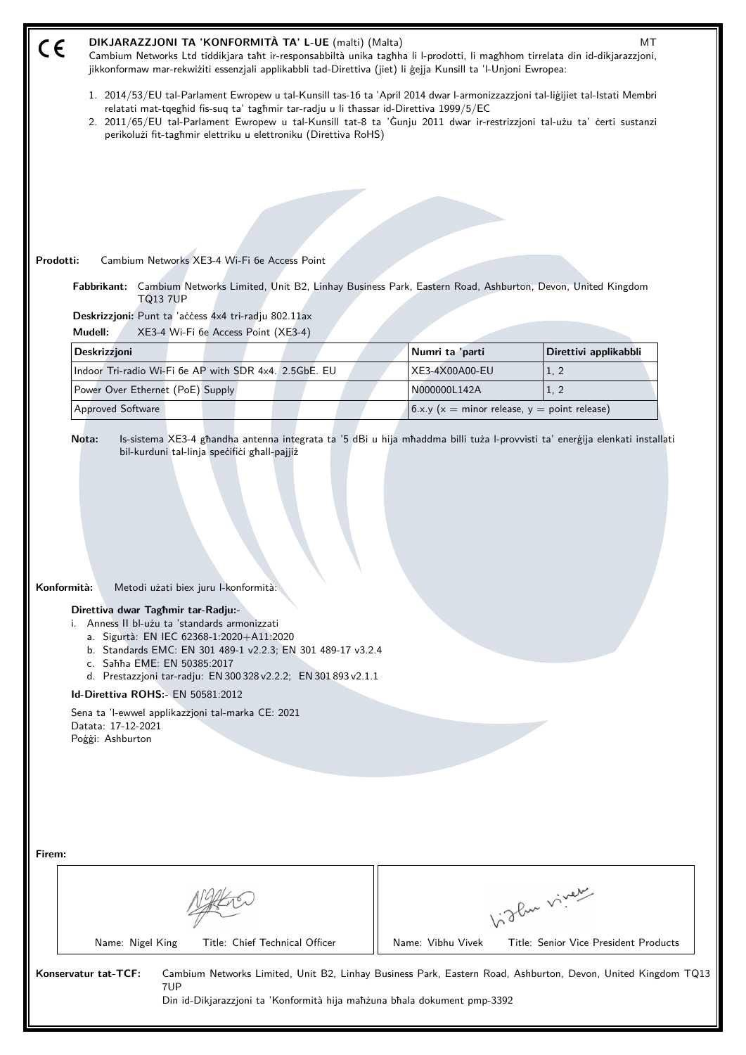| DIKJARAZZJONI TA 'KONFORMITÀ TA' L-UE (malti) (Malta)<br>МT<br>CE<br>Cambium Networks Ltd tiddikjara taht ir-responsabbiltà unika taghha li l-prodotti, li maghhom tirrelata din id-dikjarazzjoni,<br>jikkonformaw mar-rekwiżiti essenzjali applikabbli tad-Direttiva (jiet) li gejja Kunsill ta 'l-Unjoni Ewropea:                                                                                                                                                                                                                                   |                                                                                                                                                                                                                                                                                                                                                   |                                       |  |  |  |
|-------------------------------------------------------------------------------------------------------------------------------------------------------------------------------------------------------------------------------------------------------------------------------------------------------------------------------------------------------------------------------------------------------------------------------------------------------------------------------------------------------------------------------------------------------|---------------------------------------------------------------------------------------------------------------------------------------------------------------------------------------------------------------------------------------------------------------------------------------------------------------------------------------------------|---------------------------------------|--|--|--|
| perikolużi fit-taghmir elettriku u elettroniku (Direttiva RoHS)                                                                                                                                                                                                                                                                                                                                                                                                                                                                                       | 1. 2014/53/EU tal-Parlament Ewropew u tal-Kunsill tas-16 ta 'April 2014 dwar l-armonizzazzjoni tal-liġijiet tal-Istati Membri<br>relatati mat-tqeghid fis-suq ta' taghmir tar-radju u li thassar id-Direttiva 1999/5/EC<br>2. 2011/65/EU tal-Parlament Ewropew u tal-Kunsill tat-8 ta 'Gunju 2011 dwar ir-restrizzjoni tal-użu ta' certi sustanzi |                                       |  |  |  |
|                                                                                                                                                                                                                                                                                                                                                                                                                                                                                                                                                       |                                                                                                                                                                                                                                                                                                                                                   |                                       |  |  |  |
|                                                                                                                                                                                                                                                                                                                                                                                                                                                                                                                                                       |                                                                                                                                                                                                                                                                                                                                                   |                                       |  |  |  |
|                                                                                                                                                                                                                                                                                                                                                                                                                                                                                                                                                       |                                                                                                                                                                                                                                                                                                                                                   |                                       |  |  |  |
| Prodotti:<br>Cambium Networks XE3-4 Wi-Fi 6e Access Point                                                                                                                                                                                                                                                                                                                                                                                                                                                                                             |                                                                                                                                                                                                                                                                                                                                                   |                                       |  |  |  |
| Fabbrikant: Cambium Networks Limited, Unit B2, Linhay Business Park, Eastern Road, Ashburton, Devon, United Kingdom<br><b>TQ13 7UP</b>                                                                                                                                                                                                                                                                                                                                                                                                                |                                                                                                                                                                                                                                                                                                                                                   |                                       |  |  |  |
| Deskrizzjoni: Punt ta 'access 4x4 tri-radju 802.11ax                                                                                                                                                                                                                                                                                                                                                                                                                                                                                                  |                                                                                                                                                                                                                                                                                                                                                   |                                       |  |  |  |
| Mudell:<br>XE3-4 Wi-Fi 6e Access Point (XE3-4)                                                                                                                                                                                                                                                                                                                                                                                                                                                                                                        |                                                                                                                                                                                                                                                                                                                                                   |                                       |  |  |  |
| Deskrizzjoni                                                                                                                                                                                                                                                                                                                                                                                                                                                                                                                                          | Numri ta 'parti                                                                                                                                                                                                                                                                                                                                   | Direttivi applikabbli                 |  |  |  |
| Indoor Tri-radio Wi-Fi 6e AP with SDR 4x4. 2.5GbE. EU<br>Power Over Ethernet (PoE) Supply                                                                                                                                                                                                                                                                                                                                                                                                                                                             | XE3-4X00A00-EU<br>N000000L142A                                                                                                                                                                                                                                                                                                                    | 1, 2<br>1, 2                          |  |  |  |
| Approved Software                                                                                                                                                                                                                                                                                                                                                                                                                                                                                                                                     | 6.x.y ( $x =$ minor release, $y =$ point release)                                                                                                                                                                                                                                                                                                 |                                       |  |  |  |
| bil-kurduni tal-linja specifici ghall-pajjiż<br>Konformità:<br>Metodi użati biex juru l-konformità:<br>Direttiva dwar Taghmir tar-Radju:-<br>i. Anness II bl-użu ta 'standards armonizzati<br>a. Sigurtà: EN IEC 62368-1:2020+A11:2020<br>b. Standards EMC: EN 301 489-1 v2.2.3; EN 301 489-17 v3.2.4<br>c. Sahha EME: EN 50385:2017<br>d. Prestazzjoni tar-radju: EN 300 328 v2.2.2; EN 301 893 v2.1.1<br>Id-Direttiva ROHS:- EN 50581:2012<br>Sena ta 'l-ewwel applikazzjoni tal-marka CE: 2021<br>Datata: 17-12-2021<br>Poggi: Ashburton<br>Firem: |                                                                                                                                                                                                                                                                                                                                                   |                                       |  |  |  |
|                                                                                                                                                                                                                                                                                                                                                                                                                                                                                                                                                       |                                                                                                                                                                                                                                                                                                                                                   |                                       |  |  |  |
|                                                                                                                                                                                                                                                                                                                                                                                                                                                                                                                                                       |                                                                                                                                                                                                                                                                                                                                                   | Vidley vivey                          |  |  |  |
| Name: Nigel King<br>Title: Chief Technical Officer                                                                                                                                                                                                                                                                                                                                                                                                                                                                                                    | Name: Vibhu Vivek                                                                                                                                                                                                                                                                                                                                 | Title: Senior Vice President Products |  |  |  |
| Konservatur tat-TCF:<br>Cambium Networks Limited, Unit B2, Linhay Business Park, Eastern Road, Ashburton, Devon, United Kingdom TQ13<br>7UP<br>Din id-Dikjarazzjoni ta 'Konformità hija mahżuna bhala dokument pmp-3392                                                                                                                                                                                                                                                                                                                               |                                                                                                                                                                                                                                                                                                                                                   |                                       |  |  |  |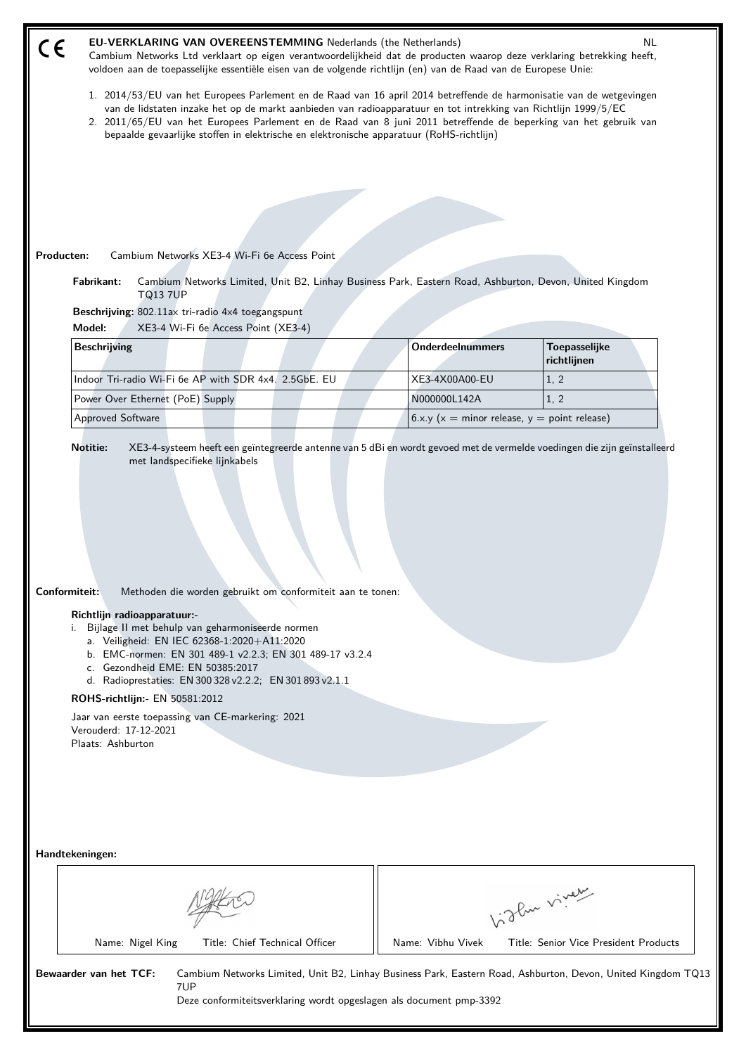| CE                                                                                                                                                                                                                                                                                                                                                                                                                                                                                                                 | <b>EU-VERKLARING VAN OVEREENSTEMMING Nederlands (the Netherlands)</b><br>NL<br>Cambium Networks Ltd verklaart op eigen verantwoordelijkheid dat de producten waarop deze verklaring betrekking heeft,<br>voldoen aan de toepasselijke essentiële eisen van de volgende richtlijn (en) van de Raad van de Europese Unie:                                                                                                                                 |                                                                                                                                                         |  |                         |                                                   |  |
|--------------------------------------------------------------------------------------------------------------------------------------------------------------------------------------------------------------------------------------------------------------------------------------------------------------------------------------------------------------------------------------------------------------------------------------------------------------------------------------------------------------------|---------------------------------------------------------------------------------------------------------------------------------------------------------------------------------------------------------------------------------------------------------------------------------------------------------------------------------------------------------------------------------------------------------------------------------------------------------|---------------------------------------------------------------------------------------------------------------------------------------------------------|--|-------------------------|---------------------------------------------------|--|
|                                                                                                                                                                                                                                                                                                                                                                                                                                                                                                                    | 1. 2014/53/EU van het Europees Parlement en de Raad van 16 april 2014 betreffende de harmonisatie van de wetgevingen<br>van de lidstaten inzake het op de markt aanbieden van radioapparatuur en tot intrekking van Richtlijn 1999/5/EC<br>2. 2011/65/EU van het Europees Parlement en de Raad van 8 juni 2011 betreffende de beperking van het gebruik van<br>bepaalde gevaarlijke stoffen in elektrische en elektronische apparatuur (RoHS-richtlijn) |                                                                                                                                                         |  |                         |                                                   |  |
|                                                                                                                                                                                                                                                                                                                                                                                                                                                                                                                    |                                                                                                                                                                                                                                                                                                                                                                                                                                                         |                                                                                                                                                         |  |                         |                                                   |  |
|                                                                                                                                                                                                                                                                                                                                                                                                                                                                                                                    |                                                                                                                                                                                                                                                                                                                                                                                                                                                         |                                                                                                                                                         |  |                         |                                                   |  |
|                                                                                                                                                                                                                                                                                                                                                                                                                                                                                                                    |                                                                                                                                                                                                                                                                                                                                                                                                                                                         |                                                                                                                                                         |  |                         |                                                   |  |
|                                                                                                                                                                                                                                                                                                                                                                                                                                                                                                                    | Producten:<br>Fabrikant:                                                                                                                                                                                                                                                                                                                                                                                                                                | Cambium Networks XE3-4 Wi-Fi 6e Access Point<br>Cambium Networks Limited, Unit B2, Linhay Business Park, Eastern Road, Ashburton, Devon, United Kingdom |  |                         |                                                   |  |
|                                                                                                                                                                                                                                                                                                                                                                                                                                                                                                                    | <b>TQ13 7UP</b>                                                                                                                                                                                                                                                                                                                                                                                                                                         | Beschrijving: 802.11ax tri-radio 4x4 toegangspunt                                                                                                       |  |                         |                                                   |  |
|                                                                                                                                                                                                                                                                                                                                                                                                                                                                                                                    | Model:                                                                                                                                                                                                                                                                                                                                                                                                                                                  | XE3-4 Wi-Fi 6e Access Point (XE3-4)                                                                                                                     |  |                         |                                                   |  |
|                                                                                                                                                                                                                                                                                                                                                                                                                                                                                                                    | <b>Beschrijving</b>                                                                                                                                                                                                                                                                                                                                                                                                                                     |                                                                                                                                                         |  | <b>Onderdeelnummers</b> | Toepasselijke<br>richtlijnen                      |  |
|                                                                                                                                                                                                                                                                                                                                                                                                                                                                                                                    |                                                                                                                                                                                                                                                                                                                                                                                                                                                         | Indoor Tri-radio Wi-Fi 6e AP with SDR 4x4. 2.5GbE. EU                                                                                                   |  | XE3-4X00A00-EU          | 1, 2                                              |  |
|                                                                                                                                                                                                                                                                                                                                                                                                                                                                                                                    | Power Over Ethernet (PoE) Supply                                                                                                                                                                                                                                                                                                                                                                                                                        |                                                                                                                                                         |  | N000000L142A            | 1, 2                                              |  |
|                                                                                                                                                                                                                                                                                                                                                                                                                                                                                                                    | Approved Software                                                                                                                                                                                                                                                                                                                                                                                                                                       |                                                                                                                                                         |  |                         | 6.x.y ( $x =$ minor release, $y =$ point release) |  |
| Conformiteit:<br>Methoden die worden gebruikt om conformiteit aan te tonen:<br>Richtlijn radioapparatuur:-<br>i. Bijlage II met behulp van geharmoniseerde normen<br>a. Veiligheid: EN IEC 62368-1:2020+A11:2020<br>b. EMC-normen: EN 301 489-1 v2.2.3; EN 301 489-17 v3.2.4<br>c. Gezondheid EME: EN 50385:2017<br>d. Radioprestaties: EN 300 328 v2.2.2; EN 301 893 v2.1.1<br>ROHS-richtlijn: - EN 50581:2012<br>Jaar van eerste toepassing van CE-markering: 2021<br>Verouderd: 17-12-2021<br>Plaats: Ashburton |                                                                                                                                                                                                                                                                                                                                                                                                                                                         |                                                                                                                                                         |  |                         |                                                   |  |
| Handtekeningen:                                                                                                                                                                                                                                                                                                                                                                                                                                                                                                    |                                                                                                                                                                                                                                                                                                                                                                                                                                                         |                                                                                                                                                         |  |                         |                                                   |  |
|                                                                                                                                                                                                                                                                                                                                                                                                                                                                                                                    |                                                                                                                                                                                                                                                                                                                                                                                                                                                         |                                                                                                                                                         |  |                         | hislan viner                                      |  |
|                                                                                                                                                                                                                                                                                                                                                                                                                                                                                                                    | Name: Nigel King                                                                                                                                                                                                                                                                                                                                                                                                                                        | Title: Chief Technical Officer                                                                                                                          |  | Name: Vibhu Vivek       | Title: Senior Vice President Products             |  |
| Bewaarder van het TCF:<br>Cambium Networks Limited, Unit B2, Linhay Business Park, Eastern Road, Ashburton, Devon, United Kingdom TQ13<br>7UP<br>Deze conformiteitsverklaring wordt opgeslagen als document pmp-3392                                                                                                                                                                                                                                                                                               |                                                                                                                                                                                                                                                                                                                                                                                                                                                         |                                                                                                                                                         |  |                         |                                                   |  |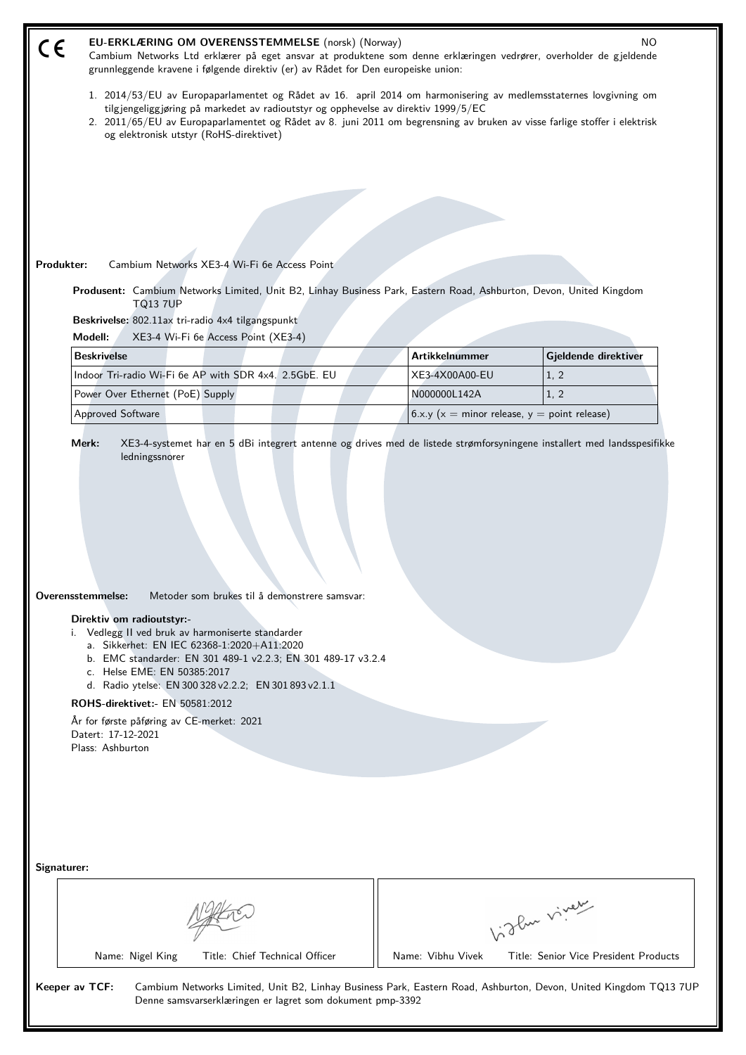| EU-ERKLÆRING OM OVERENSSTEMMELSE (norsk) (Norway)<br>NO.<br>CE<br>Cambium Networks Ltd erklærer på eget ansvar at produktene som denne erklæringen vedrører, overholder de gjeldende<br>grunnleggende kravene i følgende direktiv (er) av Rådet for Den europeiske union:                                                                                                                                                                                                                                                                                                                                                                         |                                                   |                                       |  |  |
|---------------------------------------------------------------------------------------------------------------------------------------------------------------------------------------------------------------------------------------------------------------------------------------------------------------------------------------------------------------------------------------------------------------------------------------------------------------------------------------------------------------------------------------------------------------------------------------------------------------------------------------------------|---------------------------------------------------|---------------------------------------|--|--|
| 1. 2014/53/EU av Europaparlamentet og Rådet av 16. april 2014 om harmonisering av medlemsstaternes lovgivning om<br>tilgjengeliggjøring på markedet av radioutstyr og opphevelse av direktiv 1999/5/EC<br>2. 2011/65/EU av Europaparlamentet og Rådet av 8. juni 2011 om begrensning av bruken av visse farlige stoffer i elektrisk<br>og elektronisk utstyr (RoHS-direktivet)                                                                                                                                                                                                                                                                    |                                                   |                                       |  |  |
|                                                                                                                                                                                                                                                                                                                                                                                                                                                                                                                                                                                                                                                   |                                                   |                                       |  |  |
|                                                                                                                                                                                                                                                                                                                                                                                                                                                                                                                                                                                                                                                   |                                                   |                                       |  |  |
|                                                                                                                                                                                                                                                                                                                                                                                                                                                                                                                                                                                                                                                   |                                                   |                                       |  |  |
|                                                                                                                                                                                                                                                                                                                                                                                                                                                                                                                                                                                                                                                   |                                                   |                                       |  |  |
| Produkter:<br>Cambium Networks XE3-4 Wi-Fi 6e Access Point                                                                                                                                                                                                                                                                                                                                                                                                                                                                                                                                                                                        |                                                   |                                       |  |  |
| Produsent: Cambium Networks Limited, Unit B2, Linhay Business Park, Eastern Road, Ashburton, Devon, United Kingdom                                                                                                                                                                                                                                                                                                                                                                                                                                                                                                                                |                                                   |                                       |  |  |
| <b>TQ13 7UP</b>                                                                                                                                                                                                                                                                                                                                                                                                                                                                                                                                                                                                                                   |                                                   |                                       |  |  |
| Beskrivelse: 802.11ax tri-radio 4x4 tilgangspunkt                                                                                                                                                                                                                                                                                                                                                                                                                                                                                                                                                                                                 |                                                   |                                       |  |  |
| Modell:<br>XE3-4 Wi-Fi 6e Access Point (XE3-4)<br><b>Beskrivelse</b>                                                                                                                                                                                                                                                                                                                                                                                                                                                                                                                                                                              | <b>Artikkelnummer</b>                             | Gjeldende direktiver                  |  |  |
| Indoor Tri-radio Wi-Fi 6e AP with SDR 4x4. 2.5GbE. EU                                                                                                                                                                                                                                                                                                                                                                                                                                                                                                                                                                                             | XE3-4X00A00-EU                                    | 1, 2                                  |  |  |
| Power Over Ethernet (PoE) Supply                                                                                                                                                                                                                                                                                                                                                                                                                                                                                                                                                                                                                  | N000000L142A                                      | 1, 2                                  |  |  |
| <b>Approved Software</b>                                                                                                                                                                                                                                                                                                                                                                                                                                                                                                                                                                                                                          | 6.x.y ( $x =$ minor release, $y =$ point release) |                                       |  |  |
| XE3-4-systemet har en 5 dBi integrert antenne og drives med de listede strømforsyningene installert med landsspesifikke<br>Merk:<br>ledningssnorer<br>Overensstemmelse:<br>Metoder som brukes til å demonstrere samsvar:<br>Direktiv om radioutstyr:-<br>i. Vedlegg II ved bruk av harmoniserte standarder<br>a. Sikkerhet: EN IEC 62368-1:2020+A11:2020<br>b. EMC standarder: EN 301 489-1 v2.2.3; EN 301 489-17 v3.2.4<br>c. Helse EME: EN 50385:2017<br>d. Radio ytelse: EN 300 328 v2.2.2; EN 301 893 v2.1.1<br><b>ROHS-direktivet:- EN 50581:2012</b><br>År for første påføring av CE-merket: 2021<br>Datert: 17-12-2021<br>Plass: Ashburton |                                                   |                                       |  |  |
| Signaturer:                                                                                                                                                                                                                                                                                                                                                                                                                                                                                                                                                                                                                                       |                                                   |                                       |  |  |
|                                                                                                                                                                                                                                                                                                                                                                                                                                                                                                                                                                                                                                                   |                                                   | Vidlen viney                          |  |  |
| Name: Nigel King<br>Title: Chief Technical Officer                                                                                                                                                                                                                                                                                                                                                                                                                                                                                                                                                                                                | Name: Vibhu Vivek                                 | Title: Senior Vice President Products |  |  |
| Keeper av TCF:<br>Cambium Networks Limited, Unit B2, Linhay Business Park, Eastern Road, Ashburton, Devon, United Kingdom TQ13 7UP<br>Denne samsvarserklæringen er lagret som dokument pmp-3392                                                                                                                                                                                                                                                                                                                                                                                                                                                   |                                                   |                                       |  |  |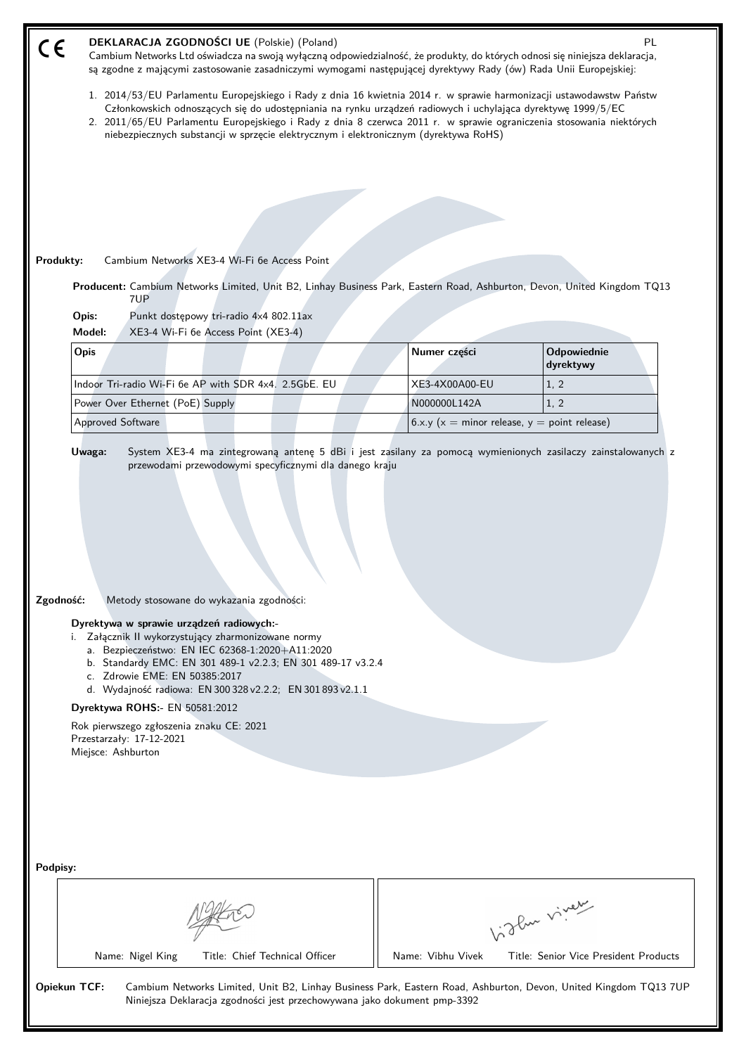| CE                                                                                                                                                                                                                                                                                                                                                                                                                                                                                                        | DEKLARACJA ZGODNOŚCI UE (Polskie) (Poland)<br>PL<br>Cambium Networks Ltd oświadcza na swoją wyłączną odpowiedzialność, że produkty, do których odnosi się niniejsza deklaracja,<br>są zgodne z mającymi zastosowanie zasadniczymi wymogami następującej dyrektywy Rady (ów) Rada Unii Europejskiej:                                                                                                                                               |                   |                                                |  |
|-----------------------------------------------------------------------------------------------------------------------------------------------------------------------------------------------------------------------------------------------------------------------------------------------------------------------------------------------------------------------------------------------------------------------------------------------------------------------------------------------------------|---------------------------------------------------------------------------------------------------------------------------------------------------------------------------------------------------------------------------------------------------------------------------------------------------------------------------------------------------------------------------------------------------------------------------------------------------|-------------------|------------------------------------------------|--|
|                                                                                                                                                                                                                                                                                                                                                                                                                                                                                                           | 1. 2014/53/EU Parlamentu Europejskiego i Rady z dnia 16 kwietnia 2014 r. w sprawie harmonizacji ustawodawstw Państw<br>Członkowskich odnoszących się do udostępniania na rynku urządzeń radiowych i uchylająca dyrektywę 1999/5/EC<br>2. 2011/65/EU Parlamentu Europejskiego i Rady z dnia 8 czerwca 2011 r. w sprawie ograniczenia stosowania niektórych<br>niebezpiecznych substancji w sprzęcie elektrycznym i elektronicznym (dyrektywa RoHS) |                   |                                                |  |
|                                                                                                                                                                                                                                                                                                                                                                                                                                                                                                           |                                                                                                                                                                                                                                                                                                                                                                                                                                                   |                   |                                                |  |
|                                                                                                                                                                                                                                                                                                                                                                                                                                                                                                           |                                                                                                                                                                                                                                                                                                                                                                                                                                                   |                   |                                                |  |
|                                                                                                                                                                                                                                                                                                                                                                                                                                                                                                           |                                                                                                                                                                                                                                                                                                                                                                                                                                                   |                   |                                                |  |
|                                                                                                                                                                                                                                                                                                                                                                                                                                                                                                           | Cambium Networks XE3-4 Wi-Fi 6e Access Point<br>Produkty:                                                                                                                                                                                                                                                                                                                                                                                         |                   |                                                |  |
|                                                                                                                                                                                                                                                                                                                                                                                                                                                                                                           | Producent: Cambium Networks Limited, Unit B2, Linhay Business Park, Eastern Road, Ashburton, Devon, United Kingdom TQ13                                                                                                                                                                                                                                                                                                                           |                   |                                                |  |
|                                                                                                                                                                                                                                                                                                                                                                                                                                                                                                           | 7UP<br>Opis:<br>Punkt dostępowy tri-radio 4x4 802.11ax                                                                                                                                                                                                                                                                                                                                                                                            |                   |                                                |  |
|                                                                                                                                                                                                                                                                                                                                                                                                                                                                                                           | Model:<br>XE3-4 Wi-Fi 6e Access Point (XE3-4)                                                                                                                                                                                                                                                                                                                                                                                                     |                   |                                                |  |
|                                                                                                                                                                                                                                                                                                                                                                                                                                                                                                           | Opis                                                                                                                                                                                                                                                                                                                                                                                                                                              | Numer części      | Odpowiednie<br>dyrektywy                       |  |
|                                                                                                                                                                                                                                                                                                                                                                                                                                                                                                           | Indoor Tri-radio Wi-Fi 6e AP with SDR 4x4. 2.5GbE. EU                                                                                                                                                                                                                                                                                                                                                                                             | XE3-4X00A00-EU    | 1, 2                                           |  |
|                                                                                                                                                                                                                                                                                                                                                                                                                                                                                                           | Power Over Ethernet (PoE) Supply                                                                                                                                                                                                                                                                                                                                                                                                                  | N000000L142A      | 1, 2                                           |  |
|                                                                                                                                                                                                                                                                                                                                                                                                                                                                                                           | <b>Approved Software</b>                                                                                                                                                                                                                                                                                                                                                                                                                          |                   | $6.x.y (x = minor release, y = point release)$ |  |
| Zgodność:<br>Metody stosowane do wykazania zgodności:<br>Dyrektywa w sprawie urządzeń radiowych:-<br>i. Załącznik II wykorzystujący zharmonizowane normy<br>a. Bezpieczeństwo: EN IEC 62368-1:2020+A11:2020<br>b. Standardy EMC: EN 301 489-1 v2.2.3; EN 301 489-17 v3.2.4<br>c. Zdrowie EME: EN 50385:2017<br>d. Wydajność radiowa: EN 300 328 v2.2.2; EN 301 893 v2.1.1<br>Dyrektywa ROHS:- EN 50581:2012<br>Rok pierwszego zgłoszenia znaku CE: 2021<br>Przestarzały: 17-12-2021<br>Miejsce: Ashburton |                                                                                                                                                                                                                                                                                                                                                                                                                                                   |                   |                                                |  |
| Podpisy:                                                                                                                                                                                                                                                                                                                                                                                                                                                                                                  |                                                                                                                                                                                                                                                                                                                                                                                                                                                   |                   |                                                |  |
|                                                                                                                                                                                                                                                                                                                                                                                                                                                                                                           |                                                                                                                                                                                                                                                                                                                                                                                                                                                   |                   | Light virey                                    |  |
|                                                                                                                                                                                                                                                                                                                                                                                                                                                                                                           | Title: Chief Technical Officer<br>Name: Nigel King                                                                                                                                                                                                                                                                                                                                                                                                | Name: Vibhu Vivek | Title: Senior Vice President Products          |  |
| <b>Opiekun TCF:</b><br>Cambium Networks Limited, Unit B2, Linhay Business Park, Eastern Road, Ashburton, Devon, United Kingdom TQ13 7UP<br>Niniejsza Deklaracja zgodności jest przechowywana jako dokument pmp-3392                                                                                                                                                                                                                                                                                       |                                                                                                                                                                                                                                                                                                                                                                                                                                                   |                   |                                                |  |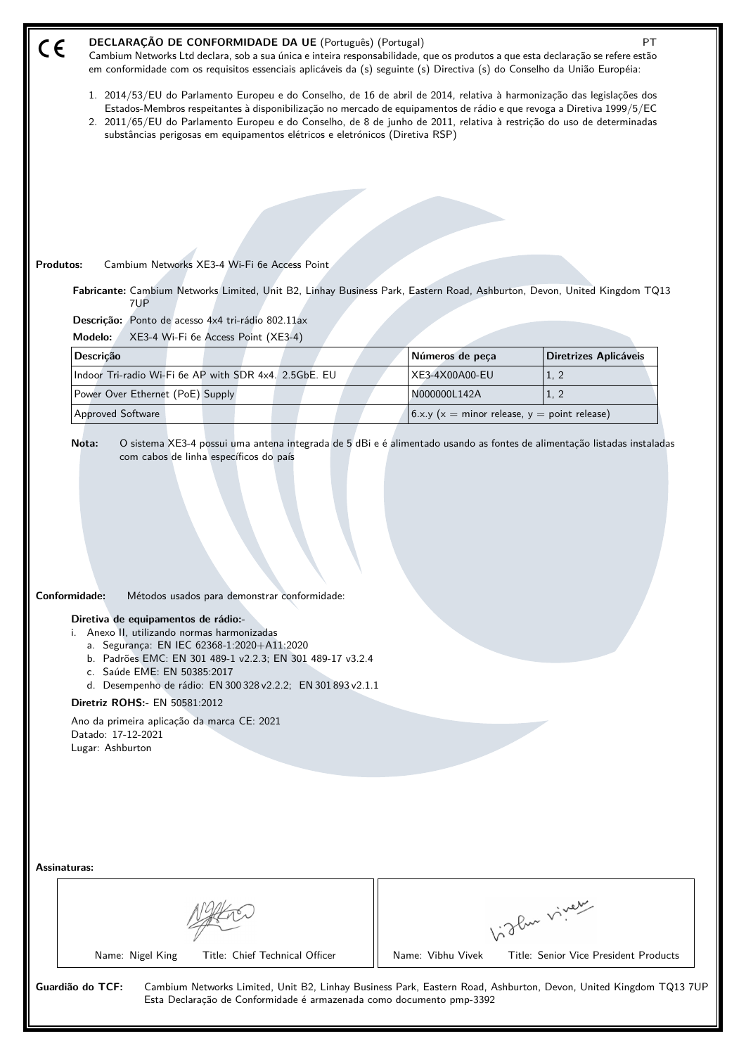| DECLARAÇÃO DE CONFORMIDADE DA UE (Português) (Portugal)<br>$C \in$<br><b>PT</b><br>Cambium Networks Ltd declara, sob a sua única e inteira responsabilidade, que os produtos a que esta declaração se refere estão<br>em conformidade com os requisitos essenciais aplicáveis da (s) seguinte (s) Directiva (s) do Conselho da União Européia:                                                                                                                                                 |                                                |                                       |  |  |  |
|------------------------------------------------------------------------------------------------------------------------------------------------------------------------------------------------------------------------------------------------------------------------------------------------------------------------------------------------------------------------------------------------------------------------------------------------------------------------------------------------|------------------------------------------------|---------------------------------------|--|--|--|
| 1. 2014/53/EU do Parlamento Europeu e do Conselho, de 16 de abril de 2014, relativa à harmonização das legislações dos<br>Estados-Membros respeitantes à disponibilização no mercado de equipamentos de rádio e que revoga a Diretiva 1999/5/EC<br>2. 2011/65/EU do Parlamento Europeu e do Conselho, de 8 de junho de 2011, relativa à restrição do uso de determinadas<br>substâncias perigosas em equipamentos elétricos e eletrónicos (Diretiva RSP)                                       |                                                |                                       |  |  |  |
|                                                                                                                                                                                                                                                                                                                                                                                                                                                                                                |                                                |                                       |  |  |  |
|                                                                                                                                                                                                                                                                                                                                                                                                                                                                                                |                                                |                                       |  |  |  |
|                                                                                                                                                                                                                                                                                                                                                                                                                                                                                                |                                                |                                       |  |  |  |
|                                                                                                                                                                                                                                                                                                                                                                                                                                                                                                |                                                |                                       |  |  |  |
| Cambium Networks XE3-4 Wi-Fi 6e Access Point<br>Produtos:                                                                                                                                                                                                                                                                                                                                                                                                                                      |                                                |                                       |  |  |  |
| Fabricante: Cambium Networks Limited, Unit B2, Linhay Business Park, Eastern Road, Ashburton, Devon, United Kingdom TQ13<br>7UP                                                                                                                                                                                                                                                                                                                                                                |                                                |                                       |  |  |  |
| Descrição: Ponto de acesso 4x4 tri-rádio 802.11ax<br>XE3-4 Wi-Fi 6e Access Point (XE3-4)<br>Modelo:                                                                                                                                                                                                                                                                                                                                                                                            |                                                |                                       |  |  |  |
| Descrição                                                                                                                                                                                                                                                                                                                                                                                                                                                                                      | Números de peça                                | <b>Diretrizes Aplicáveis</b>          |  |  |  |
| Indoor Tri-radio Wi-Fi 6e AP with SDR 4x4. 2.5GbE. EU                                                                                                                                                                                                                                                                                                                                                                                                                                          | XE3-4X00A00-EU                                 | 1, 2                                  |  |  |  |
| Power Over Ethernet (PoE) Supply                                                                                                                                                                                                                                                                                                                                                                                                                                                               | N000000L142A                                   | 1, 2                                  |  |  |  |
| Approved Software                                                                                                                                                                                                                                                                                                                                                                                                                                                                              | $6.x.y (x = minor release, y = point release)$ |                                       |  |  |  |
| Conformidade:<br>Métodos usados para demonstrar conformidade:<br>Diretiva de equipamentos de rádio:-<br>i. Anexo II, utilizando normas harmonizadas<br>a. Segurança: EN IEC 62368-1:2020+A11:2020<br>b. Padrões EMC: EN 301 489-1 v2.2.3; EN 301 489-17 v3.2.4<br>c. Saúde EME: EN 50385:2017<br>d. Desempenho de rádio: EN 300 328 v2.2.2; EN 301 893 v2.1.1<br><b>Diretriz ROHS:- EN 50581:2012</b><br>Ano da primeira aplicação da marca CE: 2021<br>Datado: 17-12-2021<br>Lugar: Ashburton |                                                |                                       |  |  |  |
| Assinaturas:                                                                                                                                                                                                                                                                                                                                                                                                                                                                                   |                                                |                                       |  |  |  |
|                                                                                                                                                                                                                                                                                                                                                                                                                                                                                                |                                                | Vidlen viner                          |  |  |  |
| Name: Nigel King<br>Title: Chief Technical Officer                                                                                                                                                                                                                                                                                                                                                                                                                                             | Name: Vibhu Vivek                              | Title: Senior Vice President Products |  |  |  |
| Guardião do TCF:<br>Cambium Networks Limited, Unit B2, Linhay Business Park, Eastern Road, Ashburton, Devon, United Kingdom TQ13 7UP<br>Esta Declaração de Conformidade é armazenada como documento pmp-3392                                                                                                                                                                                                                                                                                   |                                                |                                       |  |  |  |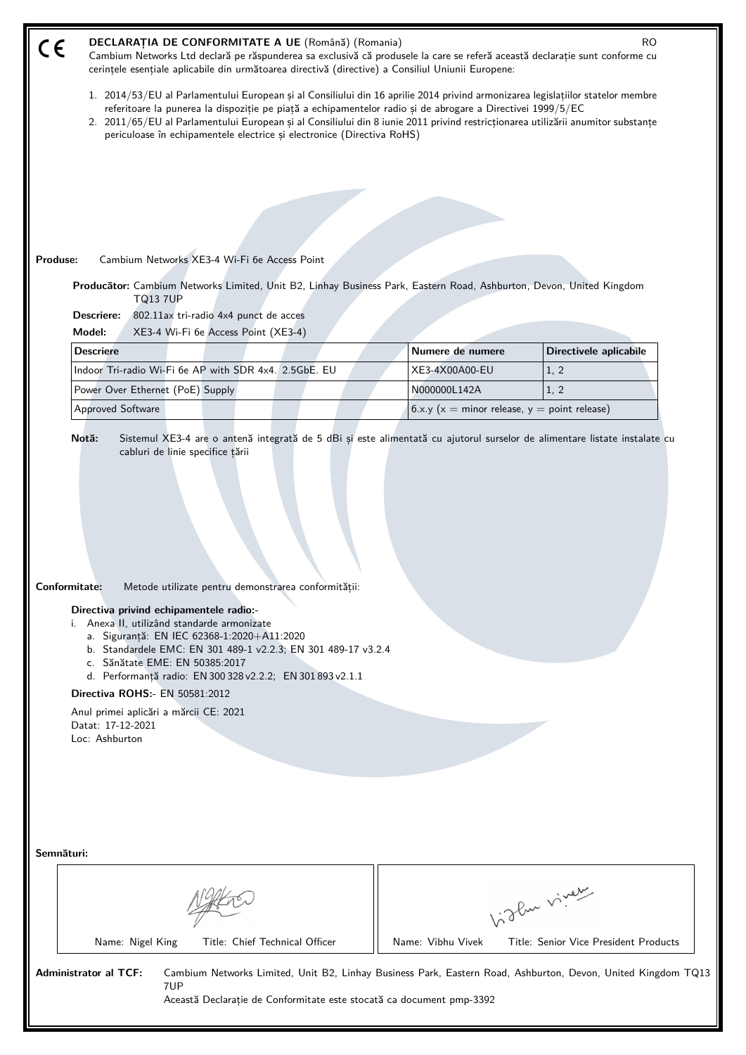| DECLARAȚIA DE CONFORMITATE A UE (Română) (Romania)<br>RO.<br>$\epsilon$<br>Cambium Networks Ltd declară pe răspunderea sa exclusivă că produsele la care se referă această declarație sunt conforme cu<br>cerințele esențiale aplicabile din următoarea directivă (directive) a Consiliul Uniunii Europene:                                                                                                                                                                                             |                                                                                                                                                                                                                                                                                                                                                                                   |                                       |  |  |
|---------------------------------------------------------------------------------------------------------------------------------------------------------------------------------------------------------------------------------------------------------------------------------------------------------------------------------------------------------------------------------------------------------------------------------------------------------------------------------------------------------|-----------------------------------------------------------------------------------------------------------------------------------------------------------------------------------------------------------------------------------------------------------------------------------------------------------------------------------------------------------------------------------|---------------------------------------|--|--|
| periculoase în echipamentele electrice și electronice (Directiva RoHS)                                                                                                                                                                                                                                                                                                                                                                                                                                  | 1. 2014/53/EU al Parlamentului European și al Consiliului din 16 aprilie 2014 privind armonizarea legislațiilor statelor membre<br>referitoare la punerea la dispoziție pe piață a echipamentelor radio și de abrogare a Directivei 1999/5/EC<br>2. 2011/65/EU al Parlamentului European și al Consiliului din 8 iunie 2011 privind restricționarea utilizării anumitor substanțe |                                       |  |  |
|                                                                                                                                                                                                                                                                                                                                                                                                                                                                                                         |                                                                                                                                                                                                                                                                                                                                                                                   |                                       |  |  |
|                                                                                                                                                                                                                                                                                                                                                                                                                                                                                                         |                                                                                                                                                                                                                                                                                                                                                                                   |                                       |  |  |
|                                                                                                                                                                                                                                                                                                                                                                                                                                                                                                         |                                                                                                                                                                                                                                                                                                                                                                                   |                                       |  |  |
|                                                                                                                                                                                                                                                                                                                                                                                                                                                                                                         |                                                                                                                                                                                                                                                                                                                                                                                   |                                       |  |  |
| Produse:<br>Cambium Networks XE3-4 Wi-Fi 6e Access Point                                                                                                                                                                                                                                                                                                                                                                                                                                                |                                                                                                                                                                                                                                                                                                                                                                                   |                                       |  |  |
| Producător: Cambium Networks Limited, Unit B2, Linhay Business Park, Eastern Road, Ashburton, Devon, United Kingdom<br><b>TQ13 7UP</b>                                                                                                                                                                                                                                                                                                                                                                  |                                                                                                                                                                                                                                                                                                                                                                                   |                                       |  |  |
| Descriere:<br>802.11ax tri-radio 4x4 punct de acces                                                                                                                                                                                                                                                                                                                                                                                                                                                     |                                                                                                                                                                                                                                                                                                                                                                                   |                                       |  |  |
| Model:<br>XE3-4 Wi-Fi 6e Access Point (XE3-4)                                                                                                                                                                                                                                                                                                                                                                                                                                                           |                                                                                                                                                                                                                                                                                                                                                                                   |                                       |  |  |
| <b>Descriere</b>                                                                                                                                                                                                                                                                                                                                                                                                                                                                                        | Numere de numere                                                                                                                                                                                                                                                                                                                                                                  | Directivele aplicabile                |  |  |
| Indoor Tri-radio Wi-Fi 6e AP with SDR 4x4. 2.5GbE. EU<br>Power Over Ethernet (PoE) Supply                                                                                                                                                                                                                                                                                                                                                                                                               | XE3-4X00A00-EU<br>N000000L142A                                                                                                                                                                                                                                                                                                                                                    | 1, 2<br>1, 2                          |  |  |
| Approved Software                                                                                                                                                                                                                                                                                                                                                                                                                                                                                       | 6.x.y ( $x =$ minor release, $y =$ point release)                                                                                                                                                                                                                                                                                                                                 |                                       |  |  |
| Contormitate:<br>Metode utilizate pentru demonstrarea conformității:<br>Directiva privind echipamentele radio:-<br>i. Anexa II, utilizând standarde armonizate<br>a. Siguranță: EN IEC 62368-1:2020+A11:2020<br>b. Standardele EMC: EN 301 489-1 v2.2.3; EN 301 489-17 v3.2.4<br>c. Sănătate EME: EN 50385:2017<br>d. Performanță radio: EN 300 328 v2.2.2; EN 301 893 v2.1.1<br><b>Directiva ROHS:- EN 50581:2012</b><br>Anul primei aplicări a mărcii CE: 2021<br>Datat: 17-12-2021<br>Loc: Ashburton |                                                                                                                                                                                                                                                                                                                                                                                   |                                       |  |  |
| Semnături:                                                                                                                                                                                                                                                                                                                                                                                                                                                                                              |                                                                                                                                                                                                                                                                                                                                                                                   |                                       |  |  |
| biglan viney                                                                                                                                                                                                                                                                                                                                                                                                                                                                                            |                                                                                                                                                                                                                                                                                                                                                                                   |                                       |  |  |
| Title: Chief Technical Officer<br>Name: Nigel King                                                                                                                                                                                                                                                                                                                                                                                                                                                      | Name: Vibhu Vivek                                                                                                                                                                                                                                                                                                                                                                 | Title: Senior Vice President Products |  |  |
| <b>Administrator al TCF:</b><br>Cambium Networks Limited, Unit B2, Linhay Business Park, Eastern Road, Ashburton, Devon, United Kingdom TQ13<br>7UP<br>Această Declarație de Conformitate este stocată ca document pmp-3392                                                                                                                                                                                                                                                                             |                                                                                                                                                                                                                                                                                                                                                                                   |                                       |  |  |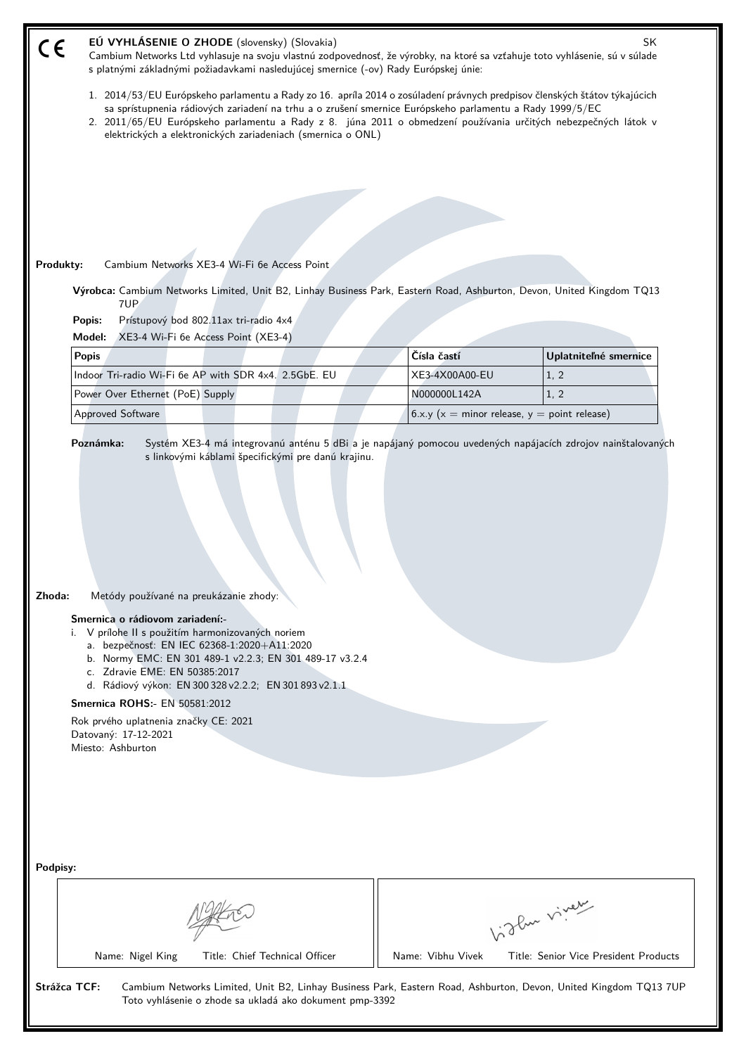| EÚ VYHLÁSENIE O ZHODE (slovensky) (Slovakia)<br>SK<br>$\zeta \in$<br>Cambium Networks Ltd vyhlasuje na svoju vlastnú zodpovednosť, že výrobky, na ktoré sa vzťahuje toto vyhlásenie, sú v súlade<br>s platnými základnými požiadavkami nasledujúcej smernice (-ov) Rady Európskej únie:                                                                                                                                                                              |                                                                                                                                                                                                                                                                                                                                                         |                                       |  |  |
|----------------------------------------------------------------------------------------------------------------------------------------------------------------------------------------------------------------------------------------------------------------------------------------------------------------------------------------------------------------------------------------------------------------------------------------------------------------------|---------------------------------------------------------------------------------------------------------------------------------------------------------------------------------------------------------------------------------------------------------------------------------------------------------------------------------------------------------|---------------------------------------|--|--|
| elektrických a elektronických zariadeniach (smernica o ONL)                                                                                                                                                                                                                                                                                                                                                                                                          | 1. 2014/53/EU Európskeho parlamentu a Rady zo 16. apríla 2014 o zosúladení právnych predpisov členských štátov týkajúcich<br>sa sprístupnenia rádiových zariadení na trhu a o zrušení smernice Európskeho parlamentu a Rady 1999/5/EC<br>2. 2011/65/EU Európskeho parlamentu a Rady z 8. júna 2011 o obmedzení používania určitých nebezpečných látok v |                                       |  |  |
|                                                                                                                                                                                                                                                                                                                                                                                                                                                                      |                                                                                                                                                                                                                                                                                                                                                         |                                       |  |  |
|                                                                                                                                                                                                                                                                                                                                                                                                                                                                      |                                                                                                                                                                                                                                                                                                                                                         |                                       |  |  |
|                                                                                                                                                                                                                                                                                                                                                                                                                                                                      |                                                                                                                                                                                                                                                                                                                                                         |                                       |  |  |
|                                                                                                                                                                                                                                                                                                                                                                                                                                                                      |                                                                                                                                                                                                                                                                                                                                                         |                                       |  |  |
| Produkty:<br>Cambium Networks XE3-4 Wi-Fi 6e Access Point                                                                                                                                                                                                                                                                                                                                                                                                            |                                                                                                                                                                                                                                                                                                                                                         |                                       |  |  |
| Výrobca: Cambium Networks Limited, Unit B2, Linhay Business Park, Eastern Road, Ashburton, Devon, United Kingdom TQ13<br>7UP                                                                                                                                                                                                                                                                                                                                         |                                                                                                                                                                                                                                                                                                                                                         |                                       |  |  |
| Prístupový bod 802.11ax tri-radio 4x4<br>Popis:<br>Model:                                                                                                                                                                                                                                                                                                                                                                                                            |                                                                                                                                                                                                                                                                                                                                                         |                                       |  |  |
| XE3-4 Wi-Fi 6e Access Point (XE3-4)<br><b>Popis</b>                                                                                                                                                                                                                                                                                                                                                                                                                  | Čísla častí                                                                                                                                                                                                                                                                                                                                             | Uplatniteľné smernice                 |  |  |
| Indoor Tri-radio Wi-Fi 6e AP with SDR 4x4. 2.5GbE. EU                                                                                                                                                                                                                                                                                                                                                                                                                | XE3-4X00A00-EU                                                                                                                                                                                                                                                                                                                                          | 1, 2                                  |  |  |
| Power Over Ethernet (PoE) Supply                                                                                                                                                                                                                                                                                                                                                                                                                                     | N000000L142A                                                                                                                                                                                                                                                                                                                                            | 1, 2                                  |  |  |
| Approved Software                                                                                                                                                                                                                                                                                                                                                                                                                                                    | 6.x.y ( $x =$ minor release, $y =$ point release)                                                                                                                                                                                                                                                                                                       |                                       |  |  |
| Zhoda:<br>Metódy používané na preukázanie zhody:<br>Smernica o rádiovom zariadení:-<br>i. V prílohe II s použitím harmonizovaných noriem<br>a. bezpečnosť: EN IEC 62368-1:2020+A11:2020<br>b. Normy EMC: EN 301 489-1 v2.2.3; EN 301 489-17 v3.2.4<br>c. Zdravie EME: EN 50385:2017<br>d. Rádiový výkon: EN 300 328 v2.2.2; EN 301 893 v2.1.1<br>Smernica ROHS:- EN 50581:2012<br>Rok prvého uplatnenia značky CE: 2021<br>Datovaný: 17-12-2021<br>Miesto: Ashburton |                                                                                                                                                                                                                                                                                                                                                         |                                       |  |  |
| Podpisy:                                                                                                                                                                                                                                                                                                                                                                                                                                                             |                                                                                                                                                                                                                                                                                                                                                         |                                       |  |  |
|                                                                                                                                                                                                                                                                                                                                                                                                                                                                      |                                                                                                                                                                                                                                                                                                                                                         | higher viner                          |  |  |
| Name: Nigel King<br>Title: Chief Technical Officer                                                                                                                                                                                                                                                                                                                                                                                                                   | Name: Vibhu Vivek                                                                                                                                                                                                                                                                                                                                       | Title: Senior Vice President Products |  |  |
| Strážca TCF:<br>Cambium Networks Limited, Unit B2, Linhay Business Park, Eastern Road, Ashburton, Devon, United Kingdom TQ13 7UP<br>Toto vyhlásenie o zhode sa ukladá ako dokument pmp-3392                                                                                                                                                                                                                                                                          |                                                                                                                                                                                                                                                                                                                                                         |                                       |  |  |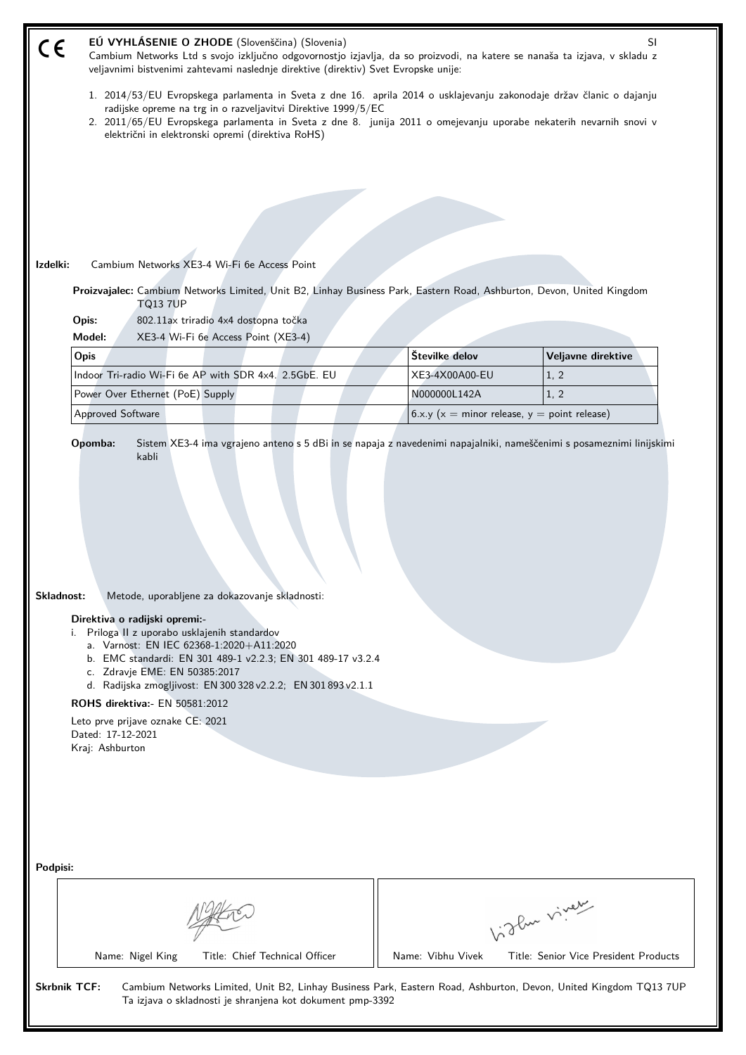| EÚ VYHLÁSENIE O ZHODE (Slovenščina) (Slovenia)<br>SI<br>CE<br>Cambium Networks Ltd s svojo izključno odgovornostjo izjavlja, da so proizvodi, na katere se nanaša ta izjava, v skladu z<br>veljavnimi bistvenimi zahtevami naslednje direktive (direktiv) Svet Evropske unije:                                                                                                                                                                                             |                                                                                                                                                                                                                                                                                                           |                                       |  |  |
|----------------------------------------------------------------------------------------------------------------------------------------------------------------------------------------------------------------------------------------------------------------------------------------------------------------------------------------------------------------------------------------------------------------------------------------------------------------------------|-----------------------------------------------------------------------------------------------------------------------------------------------------------------------------------------------------------------------------------------------------------------------------------------------------------|---------------------------------------|--|--|
|                                                                                                                                                                                                                                                                                                                                                                                                                                                                            | 1. 2014/53/EU Evropskega parlamenta in Sveta z dne 16. aprila 2014 o usklajevanju zakonodaje držav članic o dajanju<br>radijske opreme na trg in o razveljavitvi Direktive 1999/5/EC<br>2. 2011/65/EU Evropskega parlamenta in Sveta z dne 8. junija 2011 o omejevanju uporabe nekaterih nevarnih snovi v |                                       |  |  |
| električni in elektronski opremi (direktiva RoHS)<br>Izdelki:<br>Cambium Networks XE3-4 Wi-Fi 6e Access Point<br>Proizvajalec: Cambium Networks Limited, Unit B2, Linhay Business Park, Eastern Road, Ashburton, Devon, United Kingdom<br><b>TQ13 7UP</b><br>Opis:<br>802.11ax triradio 4x4 dostopna točka<br>Model:<br>XE3-4 Wi-Fi 6e Access Point (XE3-4)<br>Opis                                                                                                        | Številke delov                                                                                                                                                                                                                                                                                            | Veljavne direktive                    |  |  |
| Indoor Tri-radio Wi-Fi 6e AP with SDR 4x4. 2.5GbE. EU                                                                                                                                                                                                                                                                                                                                                                                                                      | XE3-4X00A00-EU                                                                                                                                                                                                                                                                                            | 1, 2                                  |  |  |
| Power Over Ethernet (PoE) Supply                                                                                                                                                                                                                                                                                                                                                                                                                                           | N000000L142A                                                                                                                                                                                                                                                                                              | 1, 2                                  |  |  |
| Approved Software                                                                                                                                                                                                                                                                                                                                                                                                                                                          | 6.x.y ( $x =$ minor release, $y =$ point release)                                                                                                                                                                                                                                                         |                                       |  |  |
| Skladnost:<br>Metode, uporabljene za dokazovanje skladnosti:<br>Direktiva o radijski opremi:-<br>i. Priloga II z uporabo usklajenih standardov<br>a. Varnost: EN IEC 62368-1:2020+A11:2020<br>b. EMC standardi: EN 301 489-1 v2.2.3; EN 301 489-17 v3.2.4<br>c. Zdravje EME: EN 50385:2017<br>d. Radijska zmogljivost: EN 300 328 v2.2.2; EN 301 893 v2.1.1<br>ROHS direktiva:- EN 50581:2012<br>Leto prve prijave oznake CE: 2021<br>Dated: 17-12-2021<br>Kraj: Ashburton |                                                                                                                                                                                                                                                                                                           |                                       |  |  |
| Podpisi:                                                                                                                                                                                                                                                                                                                                                                                                                                                                   |                                                                                                                                                                                                                                                                                                           |                                       |  |  |
|                                                                                                                                                                                                                                                                                                                                                                                                                                                                            |                                                                                                                                                                                                                                                                                                           | Like viney                            |  |  |
| Name: Nigel King<br>Title: Chief Technical Officer                                                                                                                                                                                                                                                                                                                                                                                                                         | Name: Vibhu Vivek                                                                                                                                                                                                                                                                                         | Title: Senior Vice President Products |  |  |
| <b>Skrbnik TCF:</b><br>Cambium Networks Limited, Unit B2, Linhay Business Park, Eastern Road, Ashburton, Devon, United Kingdom TQ13 7UP<br>Ta izjava o skladnosti je shranjena kot dokument pmp-3392                                                                                                                                                                                                                                                                       |                                                                                                                                                                                                                                                                                                           |                                       |  |  |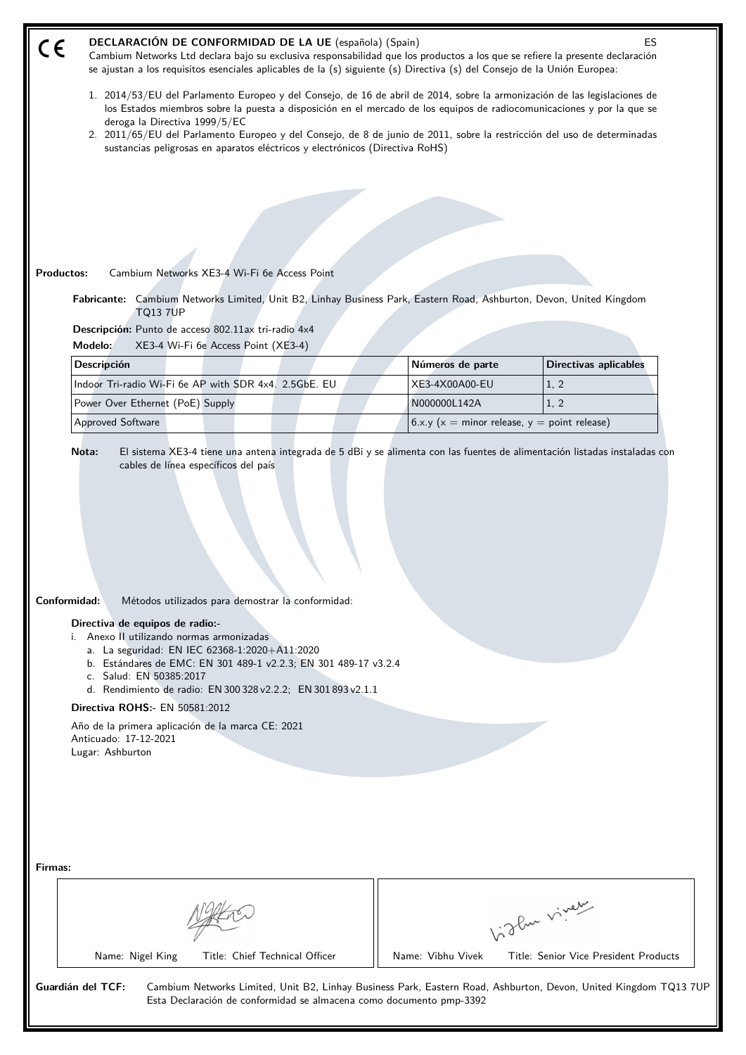| DECLARACIÓN DE CONFORMIDAD DE LA UE (española) (Spain)<br><b>ES</b><br>$C \in$<br>Cambium Networks Ltd declara bajo su exclusiva responsabilidad que los productos a los que se refiere la presente declaración<br>se ajustan a los requisitos esenciales aplicables de la (s) siguiente (s) Directiva (s) del Consejo de la Unión Europea:                                                                     |                                                                                                                                                                                       |                   |                                                                                                                  |  |
|-----------------------------------------------------------------------------------------------------------------------------------------------------------------------------------------------------------------------------------------------------------------------------------------------------------------------------------------------------------------------------------------------------------------|---------------------------------------------------------------------------------------------------------------------------------------------------------------------------------------|-------------------|------------------------------------------------------------------------------------------------------------------|--|
| 1. 2014/53/EU del Parlamento Europeo y del Consejo, de 16 de abril de 2014, sobre la armonización de las legislaciones de<br>los Estados miembros sobre la puesta a disposición en el mercado de los equipos de radiocomunicaciones y por la que se<br>deroga la Directiva 1999/5/EC<br>2. 2011/65/EU del Parlamento Europeo y del Consejo, de 8 de junio de 2011, sobre la restricción del uso de determinadas |                                                                                                                                                                                       |                   |                                                                                                                  |  |
|                                                                                                                                                                                                                                                                                                                                                                                                                 | sustancias peligrosas en aparatos eléctricos y electrónicos (Directiva RoHS)                                                                                                          |                   |                                                                                                                  |  |
|                                                                                                                                                                                                                                                                                                                                                                                                                 |                                                                                                                                                                                       |                   |                                                                                                                  |  |
|                                                                                                                                                                                                                                                                                                                                                                                                                 |                                                                                                                                                                                       |                   |                                                                                                                  |  |
|                                                                                                                                                                                                                                                                                                                                                                                                                 |                                                                                                                                                                                       |                   |                                                                                                                  |  |
| Cambium Networks XE3-4 Wi-Fi 6e Access Point<br>Productos:                                                                                                                                                                                                                                                                                                                                                      |                                                                                                                                                                                       |                   |                                                                                                                  |  |
|                                                                                                                                                                                                                                                                                                                                                                                                                 |                                                                                                                                                                                       |                   |                                                                                                                  |  |
| Fabricante: Cambium Networks Limited, Unit B2, Linhay Business Park, Eastern Road, Ashburton, Devon, United Kingdom<br><b>TQ13 7UP</b>                                                                                                                                                                                                                                                                          |                                                                                                                                                                                       |                   |                                                                                                                  |  |
| Descripción: Punto de acceso 802.11ax tri-radio 4x4<br>Modelo:<br>XE3-4 Wi-Fi 6e Access Point (XE3-4)                                                                                                                                                                                                                                                                                                           |                                                                                                                                                                                       |                   |                                                                                                                  |  |
| Descripción                                                                                                                                                                                                                                                                                                                                                                                                     |                                                                                                                                                                                       | Números de parte  | <b>Directivas aplicables</b>                                                                                     |  |
| Indoor Tri-radio Wi-Fi 6e AP with SDR 4x4. 2.5GbE. EU                                                                                                                                                                                                                                                                                                                                                           |                                                                                                                                                                                       | XE3-4X00A00-EU    | 1, 2                                                                                                             |  |
| Power Over Ethernet (PoE) Supply                                                                                                                                                                                                                                                                                                                                                                                |                                                                                                                                                                                       | N000000L142A      | 1, 2                                                                                                             |  |
| <b>Approved Software</b>                                                                                                                                                                                                                                                                                                                                                                                        |                                                                                                                                                                                       |                   | 6.x.y ( $x =$ minor release, $y =$ point release)                                                                |  |
| Conformidad:<br>Directiva de equipos de radio:-<br>i. Anexo II utilizando normas armonizadas<br>a. La seguridad: EN IEC 62368-1:2020+A11:2020<br>c. Salud: EN 50385:2017<br><b>Directiva ROHS:- EN 50581:2012</b><br>Año de la primera aplicación de la marca CE: 2021<br>Anticuado: 17-12-2021<br>Lugar: Ashburton                                                                                             | Métodos utilizados para demostrar la conformidad:<br>b. Estándares de EMC: EN 301 489-1 v2.2.3; EN 301 489-17 v3.2.4<br>d. Rendimiento de radio: EN 300 328 v2.2.2; EN 301 893 v2.1.1 |                   |                                                                                                                  |  |
| Firmas:                                                                                                                                                                                                                                                                                                                                                                                                         |                                                                                                                                                                                       |                   | birthe vivey                                                                                                     |  |
| Name: Nigel King                                                                                                                                                                                                                                                                                                                                                                                                | Title: Chief Technical Officer                                                                                                                                                        | Name: Vibhu Vivek | Title: Senior Vice President Products                                                                            |  |
| Guardián del TCF:                                                                                                                                                                                                                                                                                                                                                                                               | Esta Declaración de conformidad se almacena como documento pmp-3392                                                                                                                   |                   | Cambium Networks Limited, Unit B2, Linhay Business Park, Eastern Road, Ashburton, Devon, United Kingdom TQ13 7UF |  |